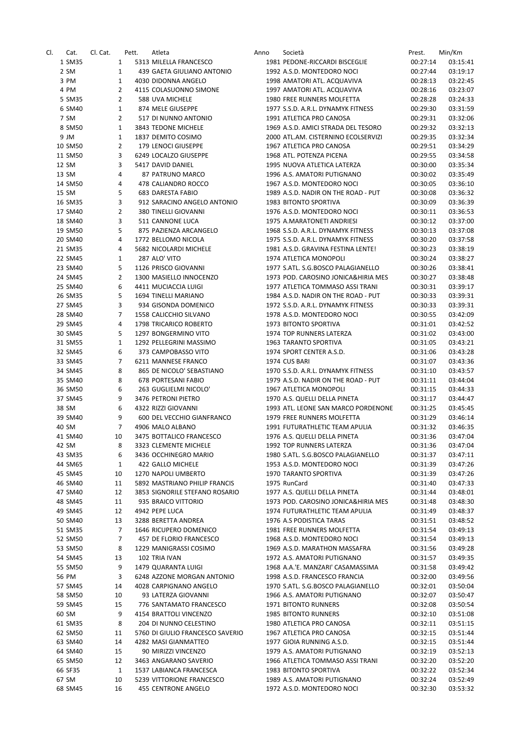| CI. | Cat.             | Cl. Cat. | Pett.          | Atleta                                           | Anno | Società                                                           | Prest.               | Min/Km               |
|-----|------------------|----------|----------------|--------------------------------------------------|------|-------------------------------------------------------------------|----------------------|----------------------|
|     | 1 SM35           |          | $\mathbf{1}$   | 5313 MILELLA FRANCESCO                           |      | 1981 PEDONE-RICCARDI BISCEGLIE                                    | 00:27:14             | 03:15:41             |
|     | 2 SM             |          | $\mathbf{1}$   | 439 GAETA GIULIANO ANTONIO                       |      | 1992 A.S.D. MONTEDORO NOCI                                        | 00:27:44             | 03:19:17             |
|     | 3 PM             |          | $\mathbf{1}$   | 4030 DIDONNA ANGELO                              |      | 1998 AMATORI ATL. ACQUAVIVA                                       | 00:28:13             | 03:22:45             |
|     | 4 PM             |          | $\overline{2}$ | 4115 COLASUONNO SIMONE                           |      | 1997 AMATORI ATL. ACQUAVIVA                                       | 00:28:16             | 03:23:07             |
|     | 5 SM35           |          | $\overline{2}$ | 588 UVA MICHELE                                  |      | 1980 FREE RUNNERS MOLFETTA                                        | 00:28:28             | 03:24:33             |
|     | 6 SM40           |          | $\mathbf{1}$   | 874 MELE GIUSEPPE                                |      | 1977 S.S.D. A.R.L. DYNAMYK FITNESS                                | 00:29:30             | 03:31:59             |
|     | 7 SM             |          | $\overline{2}$ | 517 DI NUNNO ANTONIO                             |      | 1991 ATLETICA PRO CANOSA                                          | 00:29:31             | 03:32:06             |
|     | 8 SM50           |          | $\mathbf{1}$   | 3843 TEDONE MICHELE                              |      | 1969 A.S.D. AMICI STRADA DEL TESORO                               | 00:29:32             | 03:32:13             |
|     | 9 JM             |          | $\mathbf{1}$   | 1837 DEMITO COSIMO                               |      | 2000 ATL.AM. CISTERNINO ECOLSERVIZI                               | 00:29:35             | 03:32:34             |
|     | 10 SM50          |          | 2              | 179 LENOCI GIUSEPPE                              |      | 1967 ATLETICA PRO CANOSA                                          | 00:29:51             | 03:34:29             |
|     | 11 SM50          |          | 3              | 6249 LOCALZO GIUSEPPE                            |      | 1968 ATL. POTENZA PICENA                                          | 00:29:55             | 03:34:58             |
|     | 12 SM            |          | 3              | 5417 DAVID DANIEL                                |      | 1995 NUOVA ATLETICA LATERZA                                       | 00:30:00             | 03:35:34             |
|     | 13 SM            |          | 4<br>4         | 87 PATRUNO MARCO                                 |      | 1996 A.S. AMATORI PUTIGNANO                                       | 00:30:02             | 03:35:49             |
|     | 14 SM50<br>15 SM |          | 5              | 478 CALIANDRO ROCCO<br>683 DARESTA FABIO         |      | 1967 A.S.D. MONTEDORO NOCI<br>1989 A.S.D. NADIR ON THE ROAD - PUT | 00:30:05<br>00:30:08 | 03:36:10<br>03:36:32 |
|     | 16 SM35          |          | 3              | 912 SARACINO ANGELO ANTONIO                      |      | 1983 BITONTO SPORTIVA                                             | 00:30:09             | 03:36:39             |
|     | 17 SM40          |          | $\overline{2}$ | 380 TINELLI GIOVANNI                             |      | 1976 A.S.D. MONTEDORO NOCI                                        | 00:30:11             | 03:36:53             |
|     | 18 SM40          |          | 3              | 511 CANNONE LUCA                                 |      | 1975 A.MARATONETI ANDRIESI                                        | 00:30:12             | 03:37:00             |
|     | 19 SM50          |          | 5              | 875 PAZIENZA ARCANGELO                           |      | 1968 S.S.D. A.R.L. DYNAMYK FITNESS                                | 00:30:13             | 03:37:08             |
|     | 20 SM40          |          | 4              | 1772 BELLOMO NICOLA                              |      | 1975 S.S.D. A.R.L. DYNAMYK FITNESS                                | 00:30:20             | 03:37:58             |
|     | 21 SM35          |          | 4              | 5682 NICOLARDI MICHELE                           |      | 1981 A.S.D. GRAVINA FESTINA LENTE!                                | 00:30:23             | 03:38:19             |
|     | 22 SM45          |          | $\mathbf{1}$   | 287 ALO' VITO                                    |      | 1974 ATLETICA MONOPOLI                                            | 00:30:24             | 03:38:27             |
|     | 23 SM40          |          | 5              | 1126 PRISCO GIOVANNI                             |      | 1977 S.ATL. S.G.BOSCO PALAGIANELLO                                | 00:30:26             | 03:38:41             |
|     | 24 SM45          |          | $\overline{2}$ | 1300 MASIELLO INNOCENZO                          |      | 1973 POD. CAROSINO JONICA&HIRIA MES                               | 00:30:27             | 03:38:48             |
|     | 25 SM40          |          | 6              | 4411 MUCIACCIA LUIGI                             |      | 1977 ATLETICA TOMMASO ASSI TRANI                                  | 00:30:31             | 03:39:17             |
|     | 26 SM35          |          | 5              | 1694 TINELLI MARIANO                             |      | 1984 A.S.D. NADIR ON THE ROAD - PUT                               | 00:30:33             | 03:39:31             |
|     | 27 SM45          |          | 3              | 934 GISONDA DOMENICO                             |      | 1972 S.S.D. A.R.L. DYNAMYK FITNESS                                | 00:30:33             | 03:39:31             |
|     | 28 SM40          |          | $\overline{7}$ | 1558 CALICCHIO SILVANO                           |      | 1978 A.S.D. MONTEDORO NOCI                                        | 00:30:55             | 03:42:09             |
|     | 29 SM45          |          | 4              | 1798 TRICARICO ROBERTO                           |      | 1973 BITONTO SPORTIVA                                             | 00:31:01             | 03:42:52             |
|     | 30 SM45          |          | 5              | 1297 BONGERMINO VITO                             |      | 1974 TOP RUNNERS LATERZA                                          | 00:31:02             | 03:43:00             |
|     | 31 SM55          |          | $\mathbf{1}$   | 1292 PELLEGRINI MASSIMO                          |      | 1963 TARANTO SPORTIVA                                             | 00:31:05             | 03:43:21             |
|     | 32 SM45          |          | 6              | 373 CAMPOBASSO VITO                              |      | 1974 SPORT CENTER A.S.D.                                          | 00:31:06             | 03:43:28             |
|     | 33 SM45          |          | $\overline{7}$ | 6211 MANNESE FRANCO                              |      | 1974 CUS BARI                                                     | 00:31:07             | 03:43:36             |
|     | 34 SM45          |          | 8              | 865 DE NICOLO' SEBASTIANO                        |      | 1970 S.S.D. A.R.L. DYNAMYK FITNESS                                | 00:31:10             | 03:43:57             |
|     | 35 SM40          |          | 8              | 678 PORTESANI FABIO                              |      | 1979 A.S.D. NADIR ON THE ROAD - PUT                               | 00:31:11             | 03:44:04             |
|     | 36 SM50          |          | 6              | 263 GUGLIELMI NICOLO'                            |      | 1967 ATLETICA MONOPOLI                                            | 00:31:15             | 03:44:33             |
|     | 37 SM45          |          | 9              | 3476 PETRONI PIETRO                              |      | 1970 A.S. QUELLI DELLA PINETA                                     | 00:31:17             | 03:44:47             |
|     | 38 SM            |          | 6<br>9         | 4322 RIZZI GIOVANNI                              |      | 1993 ATL. LEONE SAN MARCO PORDENONE<br>1979 FREE RUNNERS MOLFETTA | 00:31:25             | 03:45:45<br>03:46:14 |
|     | 39 SM40<br>40 SM |          | 7              | 600 DEL VECCHIO GIANFRANCO<br>4906 MALO ALBANO   |      | 1991 FUTURATHLETIC TEAM APULIA                                    | 00:31:29<br>00:31:32 | 03:46:35             |
|     | 41 SM40          |          | 10             | 3475 BOTTALICO FRANCESCO                         |      | 1976 A.S. QUELLI DELLA PINETA                                     | 00:31:36             | 03:47:04             |
|     | 42 SM            |          | 8              | 3323 CLEMENTE MICHELE                            |      | 1992 TOP RUNNERS LATERZA                                          | 00:31:36             | 03:47:04             |
|     | 43 SM35          |          | 6              | 3436 OCCHINEGRO MARIO                            |      | 1980 S.ATL. S.G.BOSCO PALAGIANELLO                                | 00:31:37             | 03:47:11             |
|     | 44 SM65          |          | $\mathbf{1}$   | 422 GALLO MICHELE                                |      | 1953 A.S.D. MONTEDORO NOCI                                        | 00:31:39             | 03:47:26             |
|     | 45 SM45          |          | 10             | 1270 NAPOLI UMBERTO                              |      | 1970 TARANTO SPORTIVA                                             | 00:31:39             | 03:47:26             |
|     | 46 SM40          |          | 11             | 5892 MASTRIANO PHILIP FRANCIS                    |      | 1975 RunCard                                                      | 00:31:40             | 03:47:33             |
|     | 47 SM40          |          | 12             | 3853 SIGNORILE STEFANO ROSARIO                   |      | 1977 A.S. QUELLI DELLA PINETA                                     | 00:31:44             | 03:48:01             |
|     | 48 SM45          |          | 11             | 935 BRAICO VITTORIO                              |      | 1973 POD. CAROSINO JONICA&HIRIA MES                               | 00:31:48             | 03:48:30             |
|     | 49 SM45          |          | 12             | 4942 PEPE LUCA                                   |      | 1974 FUTURATHLETIC TEAM APULIA                                    | 00:31:49             | 03:48:37             |
|     | 50 SM40          |          | 13             | 3288 BERETTA ANDREA                              |      | 1976 A.S PODISTICA TARAS                                          | 00:31:51             | 03:48:52             |
|     | 51 SM35          |          | 7              | 1646 RICUPERO DOMENICO                           |      | 1981 FREE RUNNERS MOLFETTA                                        | 00:31:54             | 03:49:13             |
|     | 52 SM50          |          | 7              | 457 DE FLORIO FRANCESCO                          |      | 1968 A.S.D. MONTEDORO NOCI                                        | 00:31:54             | 03:49:13             |
|     | 53 SM50          |          | 8              | 1229 MANIGRASSI COSIMO                           |      | 1969 A.S.D. MARATHON MASSAFRA                                     | 00:31:56             | 03:49:28             |
|     | 54 SM45          |          | 13             | 102 TRIA IVAN                                    |      | 1972 A.S. AMATORI PUTIGNANO                                       | 00:31:57             | 03:49:35             |
|     | 55 SM50          |          | 9              | 1479 QUARANTA LUIGI                              |      | 1968 A.A.'E. MANZARI' CASAMASSIMA                                 | 00:31:58             | 03:49:42             |
|     | 56 PM            |          | 3              | 6248 AZZONE MORGAN ANTONIO                       |      | 1998 A.S.D. FRANCESCO FRANCIA                                     | 00:32:00             | 03:49:56             |
|     | 57 SM45          |          | 14             | 4028 CARPIGNANO ANGELO                           |      | 1970 S.ATL. S.G.BOSCO PALAGIANELLO                                | 00:32:01             | 03:50:04             |
|     | 58 SM50          |          | 10             | 93 LATERZA GIOVANNI                              |      | 1966 A.S. AMATORI PUTIGNANO                                       | 00:32:07             | 03:50:47             |
|     | 59 SM45          |          | 15<br>9        | 776 SANTAMATO FRANCESCO                          |      | <b>1971 BITONTO RUNNERS</b><br>1985 BITONTO RUNNERS               | 00:32:08             | 03:50:54             |
|     | 60 SM<br>61 SM35 |          | 8              | 4154 BRATTOLI VINCENZO<br>204 DI NUNNO CELESTINO |      | 1980 ATLETICA PRO CANOSA                                          | 00:32:10<br>00:32:11 | 03:51:08<br>03:51:15 |
|     | 62 SM50          |          | 11             | 5760 DI GIULIO FRANCESCO SAVERIO                 |      | 1967 ATLETICA PRO CANOSA                                          | 00:32:15             | 03:51:44             |
|     | 63 SM40          |          | 14             | 4282 MASI GIANMATTEO                             |      | 1977 GIOIA RUNNING A.S.D.                                         | 00:32:15             | 03:51:44             |
|     | 64 SM40          |          | 15             | 90 MIRIZZI VINCENZO                              |      | 1979 A.S. AMATORI PUTIGNANO                                       | 00:32:19             | 03:52:13             |
|     | 65 SM50          |          | 12             | 3463 ANGARANO SAVERIO                            |      | 1966 ATLETICA TOMMASO ASSI TRANI                                  | 00:32:20             | 03:52:20             |
|     | 66 SF35          |          | $\mathbf{1}$   | 1537 LABIANCA FRANCESCA                          |      | 1983 BITONTO SPORTIVA                                             | 00:32:22             | 03:52:34             |
|     | 67 SM            |          | 10             | 5239 VITTORIONE FRANCESCO                        |      | 1989 A.S. AMATORI PUTIGNANO                                       | 00:32:24             | 03:52:49             |
|     | 68 SM45          |          | 16             | 455 CENTRONE ANGELO                              |      | 1972 A.S.D. MONTEDORO NOCI                                        | 00:32:30             | 03:53:32             |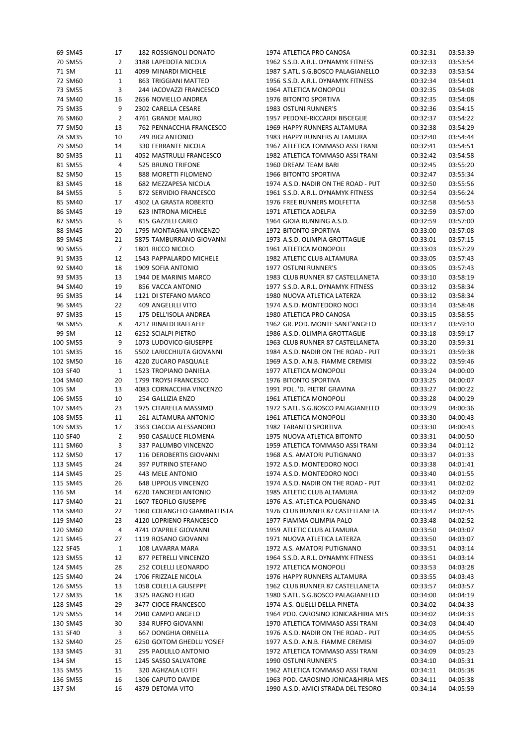|        | 69 SM45  | 17             | 182 ROSSIGNOLI DONATO                                | 1974 ATLETICA PRO CANOSA                                          | 00:32:31 | 03:53:39             |
|--------|----------|----------------|------------------------------------------------------|-------------------------------------------------------------------|----------|----------------------|
|        | 70 SM55  | $\overline{2}$ | 3188 LAPEDOTA NICOLA                                 | 1962 S.S.D. A.R.L. DYNAMYK FITNESS                                | 00:32:33 | 03:53:54             |
| 71 SM  |          | 11             | 4099 MINARDI MICHELE                                 | 1987 S.ATL. S.G.BOSCO PALAGIANELLO                                | 00:32:33 | 03:53:54             |
|        | 72 SM60  | $\mathbf{1}$   | 863 TRIGGIANI MATTEO                                 | 1956 S.S.D. A.R.L. DYNAMYK FITNESS                                | 00:32:34 | 03:54:01             |
|        | 73 SM55  | 3              | 244 IACOVAZZI FRANCESCO                              | 1964 ATLETICA MONOPOLI                                            | 00:32:35 | 03:54:08             |
|        | 74 SM40  | 16             | 2656 NOVIELLO ANDREA                                 | 1976 BITONTO SPORTIVA                                             | 00:32:35 | 03:54:08             |
|        | 75 SM35  | 9              | 2302 CARELLA CESARE                                  | 1983 OSTUNI RUNNER'S                                              | 00:32:36 | 03:54:15             |
|        | 76 SM60  | $\overline{2}$ | 4761 GRANDE MAURO                                    | 1957 PEDONE-RICCARDI BISCEGLIE                                    | 00:32:37 | 03:54:22             |
|        | 77 SM50  | 13             | 762 PENNACCHIA FRANCESCO                             | 1969 HAPPY RUNNERS ALTAMURA                                       | 00:32:38 | 03:54:29             |
|        | 78 SM35  | 10             | 749 BIGI ANTONIO                                     | 1983 HAPPY RUNNERS ALTAMURA                                       | 00:32:40 | 03:54:44             |
|        | 79 SM50  | 14             | 330 FERRANTE NICOLA                                  | 1967 ATLETICA TOMMASO ASSI TRANI                                  | 00:32:41 | 03:54:51             |
|        | 80 SM35  | 11             | 4052 MASTRULLI FRANCESCO                             | 1982 ATLETICA TOMMASO ASSI TRANI                                  | 00:32:42 | 03:54:58             |
|        | 81 SM55  | 4              | 525 BRUNO TRIFONE                                    | 1960 DREAM TEAM BARI                                              | 00:32:45 | 03:55:20             |
|        | 82 SM50  | 15             | 888 MORETTI FILOMENO                                 | 1966 BITONTO SPORTIVA                                             | 00:32:47 | 03:55:34             |
|        | 83 SM45  | 18             | 682 MEZZAPESA NICOLA                                 |                                                                   |          | 03:55:56             |
|        |          | 5              |                                                      | 1974 A.S.D. NADIR ON THE ROAD - PUT                               | 00:32:50 |                      |
|        | 84 SM55  |                | 872 SERVIDIO FRANCESCO                               | 1961 S.S.D. A.R.L. DYNAMYK FITNESS                                | 00:32:54 | 03:56:24             |
|        | 85 SM40  | 17             | 4302 LA GRASTA ROBERTO                               | 1976 FREE RUNNERS MOLFETTA                                        | 00:32:58 | 03:56:53             |
|        | 86 SM45  | 19             | 623 INTRONA MICHELE                                  | 1971 ATLETICA ADELFIA                                             | 00:32:59 | 03:57:00             |
|        | 87 SM55  | 6              | 815 GAZZILLI CARLO                                   | 1964 GIOIA RUNNING A.S.D.                                         | 00:32:59 | 03:57:00             |
|        | 88 SM45  | 20             | 1795 MONTAGNA VINCENZO                               | 1972 BITONTO SPORTIVA                                             | 00:33:00 | 03:57:08             |
|        | 89 SM45  | 21             | 5875 TAMBURRANO GIOVANNI                             | 1973 A.S.D. OLIMPIA GROTTAGLIE                                    | 00:33:01 | 03:57:15             |
|        | 90 SM55  | $\overline{7}$ | 1801 RICCO NICOLO                                    | 1961 ATLETICA MONOPOLI                                            | 00:33:03 | 03:57:29             |
|        | 91 SM35  | 12             | 1543 PAPPALARDO MICHELE                              | 1982 ATLETIC CLUB ALTAMURA                                        | 00:33:05 | 03:57:43             |
|        | 92 SM40  | 18             | 1909 SOFIA ANTONIO                                   | 1977 OSTUNI RUNNER'S                                              | 00:33:05 | 03:57:43             |
|        | 93 SM35  | 13             | 1944 DE MARINIS MARCO                                | 1983 CLUB RUNNER 87 CASTELLANETA                                  | 00:33:10 | 03:58:19             |
|        | 94 SM40  | 19             | 856 VACCA ANTONIO                                    | 1977 S.S.D. A.R.L. DYNAMYK FITNESS                                | 00:33:12 | 03:58:34             |
|        | 95 SM35  | 14             | 1121 DI STEFANO MARCO                                | 1980 NUOVA ATLETICA LATERZA                                       | 00:33:12 | 03:58:34             |
|        | 96 SM45  | 22             | 409 ANGELILLI VITO                                   | 1974 A.S.D. MONTEDORO NOCI                                        | 00:33:14 | 03:58:48             |
|        | 97 SM35  | 15             | 175 DELL'ISOLA ANDREA                                | 1980 ATLETICA PRO CANOSA                                          | 00:33:15 | 03:58:55             |
|        | 98 SM55  | 8              | 4217 RINALDI RAFFAELE                                | 1962 GR. POD. MONTE SANT'ANGELO                                   | 00:33:17 | 03:59:10             |
| 99 SM  |          | 12             | 6252 SCIALPI PIETRO                                  | 1986 A.S.D. OLIMPIA GROTTAGLIE                                    | 00:33:18 | 03:59:17             |
|        | 100 SM55 | 9              | 1073 LUDOVICO GIUSEPPE                               | 1963 CLUB RUNNER 87 CASTELLANETA                                  | 00:33:20 | 03:59:31             |
|        | 101 SM35 | 16             | 5502 LARICCHIUTA GIOVANNI                            | 1984 A.S.D. NADIR ON THE ROAD - PUT                               | 00:33:21 | 03:59:38             |
|        | 102 SM50 | 16             | 4220 ZUCARO PASQUALE                                 | 1969 A.S.D. A.N.B. FIAMME CREMISI                                 | 00:33:22 | 03:59:46             |
|        | 103 SF40 | $\mathbf{1}$   | 1523 TROPIANO DANIELA                                | 1977 ATLETICA MONOPOLI                                            | 00:33:24 | 04:00:00             |
|        | 104 SM40 | 20             | 1799 TROYSI FRANCESCO                                | 1976 BITONTO SPORTIVA                                             | 00:33:25 | 04:00:07             |
| 105 SM |          | 13             | 4083 CORNACCHIA VINCENZO                             | 1991 POL. 'D. PIETRI' GRAVINA                                     | 00:33:27 | 04:00:22             |
|        | 106 SM55 | 10             | 254 GALLIZIA ENZO                                    | 1961 ATLETICA MONOPOLI                                            | 00:33:28 | 04:00:29             |
|        | 107 SM45 | 23             | 1975 CITARELLA MASSIMO                               | 1972 S.ATL. S.G.BOSCO PALAGIANELLO                                | 00:33:29 | 04:00:36             |
|        | 108 SM55 | 11             | 261 ALTAMURA ANTONIO                                 | 1961 ATLETICA MONOPOLI                                            | 00:33:30 | 04:00:43             |
|        | 109 SM35 | 17             | 3363 CIACCIA ALESSANDRO                              | 1982 TARANTO SPORTIVA                                             | 00:33:30 | 04:00:43             |
|        | 110 SF40 | $\overline{2}$ | 950 CASALUCE FILOMENA                                | 1975 NUOVA ATLETICA BITONTO                                       | 00:33:31 | 04:00:50             |
|        | 111 SM60 | 3              | 337 PALUMBO VINCENZO                                 | 1959 ATLETICA TOMMASO ASSI TRANI                                  | 00:33:34 | 04:01:12             |
|        | 112 SM50 | 17             | 116 DEROBERTIS GIOVANNI                              | 1968 A.S. AMATORI PUTIGNANO                                       | 00:33:37 | 04:01:33             |
|        | 113 SM45 | 24             | 397 PUTRINO STEFANO                                  | 1972 A.S.D. MONTEDORO NOCI                                        | 00:33:38 | 04:01:41             |
|        | 114 SM45 | 25             | 443 MELE ANTONIO                                     | 1974 A.S.D. MONTEDORO NOCI                                        | 00:33:40 | 04:01:55             |
|        | 115 SM45 | 26             |                                                      |                                                                   |          | 04:02:02             |
|        |          |                | 648 LIPPOLIS VINCENZO                                | 1974 A.S.D. NADIR ON THE ROAD - PUT<br>1985 ATLETIC CLUB ALTAMURA | 00:33:41 | 04:02:09             |
| 116 SM |          | 14             | 6220 TANCREDI ANTONIO                                |                                                                   | 00:33:42 |                      |
|        | 117 SM40 | 21             | 1607 TEOFILO GIUSEPPE<br>1060 COLANGELO GIAMBATTISTA | 1976 A.S. ATLETICA POLIGNANO                                      | 00:33:45 | 04:02:31<br>04:02:45 |
|        | 118 SM40 | 22             |                                                      | 1976 CLUB RUNNER 87 CASTELLANETA                                  | 00:33:47 |                      |
|        | 119 SM40 | 23             | 4120 LOPRIENO FRANCESCO                              | 1977 FIAMMA OLIMPIA PALO                                          | 00:33:48 | 04:02:52             |
|        | 120 SM60 | 4              | 4741 D'APRILE GIOVANNI                               | 1959 ATLETIC CLUB ALTAMURA                                        | 00:33:50 | 04:03:07             |
|        | 121 SM45 | 27             | 1119 ROSANO GIOVANNI                                 | 1971 NUOVA ATLETICA LATERZA                                       | 00:33:50 | 04:03:07             |
|        | 122 SF45 | $\mathbf{1}$   | 108 LAVARRA MARA                                     | 1972 A.S. AMATORI PUTIGNANO                                       | 00:33:51 | 04:03:14             |
|        | 123 SM55 | 12             | 877 PETRELLI VINCENZO                                | 1964 S.S.D. A.R.L. DYNAMYK FITNESS                                | 00:33:51 | 04:03:14             |
|        | 124 SM45 | 28             | 252 COLELLI LEONARDO                                 | 1972 ATLETICA MONOPOLI                                            | 00:33:53 | 04:03:28             |
|        | 125 SM40 | 24             | 1706 FRIZZALE NICOLA                                 | 1976 HAPPY RUNNERS ALTAMURA                                       | 00:33:55 | 04:03:43             |
|        | 126 SM55 | 13             | 1058 COLELLA GIUSEPPE                                | 1962 CLUB RUNNER 87 CASTELLANETA                                  | 00:33:57 | 04:03:57             |
|        | 127 SM35 | 18             | 3325 RAGNO ELIGIO                                    | 1980 S.ATL. S.G.BOSCO PALAGIANELLO                                | 00:34:00 | 04:04:19             |
|        | 128 SM45 | 29             | 3477 CIOCE FRANCESCO                                 | 1974 A.S. QUELLI DELLA PINETA                                     | 00:34:02 | 04:04:33             |
|        | 129 SM55 | 14             | 2040 CAMPO ANGELO                                    | 1964 POD. CAROSINO JONICA&HIRIA MES                               | 00:34:02 | 04:04:33             |
|        | 130 SM45 | 30             | 334 RUFFO GIOVANNI                                   | 1970 ATLETICA TOMMASO ASSI TRANI                                  | 00:34:03 | 04:04:40             |
|        | 131 SF40 | 3              | 667 DONGHIA ORNELLA                                  | 1976 A.S.D. NADIR ON THE ROAD - PUT                               | 00:34:05 | 04:04:55             |
|        | 132 SM40 | 25             | 6250 GOITOM GHEDLU YOSIEF                            | 1977 A.S.D. A.N.B. FIAMME CREMISI                                 | 00:34:07 | 04:05:09             |
|        | 133 SM45 | 31             | 295 PAOLILLO ANTONIO                                 | 1972 ATLETICA TOMMASO ASSI TRANI                                  | 00:34:09 | 04:05:23             |
| 134 SM |          | 15             | 1245 SASSO SALVATORE                                 | 1990 OSTUNI RUNNER'S                                              | 00:34:10 | 04:05:31             |
|        | 135 SM55 | 15             | 320 AGHZALA LOTFI                                    | 1962 ATLETICA TOMMASO ASSI TRANI                                  | 00:34:11 | 04:05:38             |
|        | 136 SM55 | 16             | 1306 CAPUTO DAVIDE                                   | 1963 POD. CAROSINO JONICA&HIRIA MES                               | 00:34:11 | 04:05:38             |
| 137 SM |          | 16             | 4379 DETOMA VITO                                     | 1990 A.S.D. AMICI STRADA DEL TESORO                               | 00:34:14 | 04:05:59             |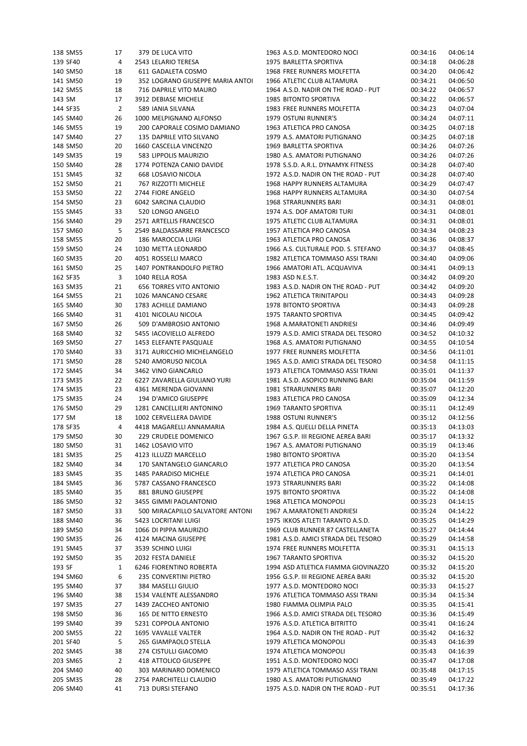| 138 SM55 | 17 | 379 DE LUCA VITO                 | 1963 A.S.D. MONTEDORO NOCI          | 00:34:16 | 04:06:14 |
|----------|----|----------------------------------|-------------------------------------|----------|----------|
| 139 SF40 | 4  | 2543 LELARIO TERESA              | 1975 BARLETTA SPORTIVA              | 00:34:18 | 04:06:28 |
| 140 SM50 | 18 | 611 GADALETA COSMO               | 1968 FREE RUNNERS MOLFETTA          | 00:34:20 | 04:06:42 |
| 141 SM50 | 19 | 352 LOGRANO GIUSEPPE MARIA ANTOI | 1966 ATLETIC CLUB ALTAMURA          | 00:34:21 | 04:06:50 |
| 142 SM55 | 18 | 716 DAPRILE VITO MAURO           | 1964 A.S.D. NADIR ON THE ROAD - PUT | 00:34:22 | 04:06:57 |
|          |    |                                  |                                     |          |          |
| 143 SM   | 17 | 3912 DEBIASE MICHELE             | 1985 BITONTO SPORTIVA               | 00:34:22 | 04:06:57 |
| 144 SF35 | 2  | 589 IANIA SILVANA                | 1983 FREE RUNNERS MOLFETTA          | 00:34:23 | 04:07:04 |
| 145 SM40 | 26 | 1000 MELPIGNANO ALFONSO          | 1979 OSTUNI RUNNER'S                | 00:34:24 | 04:07:11 |
| 146 SM55 | 19 | 200 CAPORALE COSIMO DAMIANO      | 1963 ATLETICA PRO CANOSA            | 00:34:25 | 04:07:18 |
| 147 SM40 | 27 | 135 DAPRILE VITO SILVANO         | 1979 A.S. AMATORI PUTIGNANO         | 00:34:25 | 04:07:18 |
| 148 SM50 | 20 | 1660 CASCELLA VINCENZO           | 1969 BARLETTA SPORTIVA              | 00:34:26 | 04:07:26 |
| 149 SM35 | 19 | 583 LIPPOLIS MAURIZIO            | 1980 A.S. AMATORI PUTIGNANO         | 00:34:26 | 04:07:26 |
|          |    |                                  |                                     |          |          |
| 150 SM40 | 28 | 1774 POTENZA CANIO DAVIDE        | 1978 S.S.D. A.R.L. DYNAMYK FITNESS  | 00:34:28 | 04:07:40 |
| 151 SM45 | 32 | 668 LOSAVIO NICOLA               | 1972 A.S.D. NADIR ON THE ROAD - PUT | 00:34:28 | 04:07:40 |
| 152 SM50 | 21 | 767 RIZZOTTI MICHELE             | 1968 HAPPY RUNNERS ALTAMURA         | 00:34:29 | 04:07:47 |
| 153 SM50 | 22 | 2744 FIORE ANGELO                | 1968 HAPPY RUNNERS ALTAMURA         | 00:34:30 | 04:07:54 |
| 154 SM50 | 23 | 6042 SARCINA CLAUDIO             | 1968 STRARUNNERS BARI               | 00:34:31 | 04:08:01 |
| 155 SM45 | 33 | 520 LONGO ANGELO                 | 1974 A.S. DOF AMATORI TURI          | 00:34:31 | 04:08:01 |
| 156 SM40 | 29 | 2571 ARTELLIS FRANCESCO          | 1975 ATLETIC CLUB ALTAMURA          |          | 04:08:01 |
|          |    |                                  |                                     | 00:34:31 |          |
| 157 SM60 | 5  | 2549 BALDASSARRE FRANCESCO       | 1957 ATLETICA PRO CANOSA            | 00:34:34 | 04:08:23 |
| 158 SM55 | 20 | 186 MAROCCIA LUIGI               | 1963 ATLETICA PRO CANOSA            | 00:34:36 | 04:08:37 |
| 159 SM50 | 24 | 1030 METTA LEONARDO              | 1966 A.S. CULTURALE POD. S. STEFANO | 00:34:37 | 04:08:45 |
| 160 SM35 | 20 | 4051 ROSSELLI MARCO              | 1982 ATLETICA TOMMASO ASSI TRANI    | 00:34:40 | 04:09:06 |
| 161 SM50 | 25 | 1407 PONTRANDOLFO PIETRO         | 1966 AMATORI ATL. ACQUAVIVA         | 00:34:41 | 04:09:13 |
| 162 SF35 | 3  | 1040 RELLA ROSA                  | 1983 ASD N.E.S.T.                   | 00:34:42 | 04:09:20 |
| 163 SM35 | 21 | <b>656 TORRES VITO ANTONIO</b>   | 1983 A.S.D. NADIR ON THE ROAD - PUT | 00:34:42 | 04:09:20 |
|          |    |                                  |                                     |          |          |
| 164 SM55 | 21 | 1026 MANCANO CESARE              | 1962 ATLETICA TRINITAPOLI           | 00:34:43 | 04:09:28 |
| 165 SM40 | 30 | 1783 ACHILLE DAMIANO             | 1978 BITONTO SPORTIVA               | 00:34:43 | 04:09:28 |
| 166 SM40 | 31 | 4101 NICOLAU NICOLA              | 1975 TARANTO SPORTIVA               | 00:34:45 | 04:09:42 |
| 167 SM50 | 26 | 509 D'AMBROSIO ANTONIO           | 1968 A.MARATONETI ANDRIESI          | 00:34:46 | 04:09:49 |
| 168 SM40 | 32 | 5455 IACOVIELLO ALFREDO          | 1979 A.S.D. AMICI STRADA DEL TESORO | 00:34:52 | 04:10:32 |
| 169 SM50 | 27 | 1453 ELEFANTE PASQUALE           | 1968 A.S. AMATORI PUTIGNANO         | 00:34:55 | 04:10:54 |
| 170 SM40 | 33 | 3171 AURICCHIO MICHELANGELO      | 1977 FREE RUNNERS MOLFETTA          | 00:34:56 | 04:11:01 |
|          |    |                                  |                                     |          |          |
| 171 SM50 | 28 | 5240 AMORUSO NICOLA              | 1965 A.S.D. AMICI STRADA DEL TESORO | 00:34:58 | 04:11:15 |
| 172 SM45 | 34 | 3462 VINO GIANCARLO              | 1973 ATLETICA TOMMASO ASSI TRANI    | 00:35:01 | 04:11:37 |
| 173 SM35 | 22 | 6227 ZAVARELLA GIULIANO YURI     | 1981 A.S.D. ASOPICO RUNNING BARI    | 00:35:04 | 04:11:59 |
| 174 SM35 | 23 | 4361 MERENDA GIOVANNI            | 1981 STRARUNNERS BARI               | 00:35:07 | 04:12:20 |
| 175 SM35 | 24 | 194 D'AMICO GIUSEPPE             | 1983 ATLETICA PRO CANOSA            | 00:35:09 | 04:12:34 |
| 176 SM50 | 29 | 1281 CANCELLIERI ANTONINO        | 1969 TARANTO SPORTIVA               | 00:35:11 | 04:12:49 |
| 177 SM   | 18 | 1002 CERVELLERA DAVIDE           | 1988 OSTUNI RUNNER'S                | 00:35:12 | 04:12:56 |
|          |    |                                  |                                     |          |          |
| 178 SF35 | 4  | 4418 MAGARELLI ANNAMARIA         | 1984 A.S. QUELLI DELLA PINETA       | 00:35:13 | 04:13:03 |
| 179 SM50 | 30 | 229 CRUDELE DOMENICO             | 1967 G.S.P. III REGIONE AEREA BARI  | 00:35:17 | 04:13:32 |
| 180 SM50 | 31 | 1462 LOSAVIO VITO                | 1967 A.S. AMATORI PUTIGNANO         | 00:35:19 | 04:13:46 |
| 181 SM35 | 25 | 4123 ILLUZZI MARCELLO            | 1980 BITONTO SPORTIVA               | 00:35:20 | 04:13:54 |
| 182 SM40 | 34 | 170 SANTANGELO GIANCARLO         | 1977 ATLETICA PRO CANOSA            | 00:35:20 | 04:13:54 |
| 183 SM45 | 35 | 1485 PARADISO MICHELE            | 1974 ATLETICA PRO CANOSA            | 00:35:21 | 04:14:01 |
| 184 SM45 | 36 | 5787 CASSANO FRANCESCO           | 1973 STRARUNNERS BARI               | 00:35:22 | 04:14:08 |
|          |    |                                  |                                     |          |          |
| 185 SM40 | 35 | 881 BRUNO GIUSEPPE               | 1975 BITONTO SPORTIVA               | 00:35:22 | 04:14:08 |
| 186 SM50 | 32 | 3455 GIMMI PAOLANTONIO           | 1968 ATLETICA MONOPOLI              | 00:35:23 | 04:14:15 |
| 187 SM50 | 33 | 500 MIRACAPILLO SALVATORE ANTONI | 1967 A.MARATONETI ANDRIESI          | 00:35:24 | 04:14:22 |
| 188 SM40 | 36 | 5423 LOCRITANI LUIGI             | 1975 IKKOS ATLETI TARANTO A.S.D.    | 00:35:25 | 04:14:29 |
| 189 SM50 | 34 | 1066 DI PIPPA MAURIZIO           | 1969 CLUB RUNNER 87 CASTELLANETA    | 00:35:27 | 04:14:44 |
| 190 SM35 | 26 | 4124 MACINA GIUSEPPE             | 1981 A.S.D. AMICI STRADA DEL TESORO | 00:35:29 | 04:14:58 |
| 191 SM45 | 37 | 3539 SCHINO LUIGI                | 1974 FREE RUNNERS MOLFETTA          | 00:35:31 | 04:15:13 |
|          |    |                                  |                                     |          |          |
| 192 SM50 | 35 | 2032 FESTA DANIELE               | 1967 TARANTO SPORTIVA               | 00:35:32 | 04:15:20 |
| 193 SF   | 1  | 6246 FIORENTINO ROBERTA          | 1994 ASD ATLETICA FIAMMA GIOVINAZZO | 00:35:32 | 04:15:20 |
| 194 SM60 | 6  | 235 CONVERTINI PIETRO            | 1956 G.S.P. III REGIONE AEREA BARI  | 00:35:32 | 04:15:20 |
| 195 SM40 | 37 | 384 MASELLI GIULIO               | 1977 A.S.D. MONTEDORO NOCI          | 00:35:33 | 04:15:27 |
| 196 SM40 | 38 | 1534 VALENTE ALESSANDRO          | 1976 ATLETICA TOMMASO ASSI TRANI    | 00:35:34 | 04:15:34 |
| 197 SM35 | 27 | 1439 ZACCHEO ANTONIO             | 1980 FIAMMA OLIMPIA PALO            | 00:35:35 | 04:15:41 |
|          | 36 | 165 DE NITTO ERNESTO             | 1966 A.S.D. AMICI STRADA DEL TESORO | 00:35:36 | 04:15:49 |
| 198 SM50 |    |                                  |                                     |          |          |
| 199 SM40 | 39 | 5231 COPPOLA ANTONIO             | 1976 A.S.D. ATLETICA BITRITTO       | 00:35:41 | 04:16:24 |
| 200 SM55 | 22 | 1695 VAVALLE VALTER              | 1964 A.S.D. NADIR ON THE ROAD - PUT | 00:35:42 | 04:16:32 |
| 201 SF40 | 5  | 265 GIAMPAOLO STELLA             | 1979 ATLETICA MONOPOLI              | 00:35:43 | 04:16:39 |
| 202 SM45 | 38 | 274 CISTULLI GIACOMO             | 1974 ATLETICA MONOPOLI              | 00:35:43 | 04:16:39 |
| 203 SM65 | 2  | 418 ATTOLICO GIUSEPPE            | 1951 A.S.D. MONTEDORO NOCI          | 00:35:47 | 04:17:08 |
| 204 SM40 | 40 | 303 MARINARO DOMENICO            | 1979 ATLETICA TOMMASO ASSI TRANI    | 00:35:48 | 04:17:15 |
| 205 SM35 | 28 | 2754 PARCHITELLI CLAUDIO         | 1980 A.S. AMATORI PUTIGNANO         | 00:35:49 | 04:17:22 |
|          |    |                                  |                                     |          |          |
| 206 SM40 | 41 | 713 DURSI STEFANO                | 1975 A.S.D. NADIR ON THE ROAD - PUT | 00:35:51 | 04:17:36 |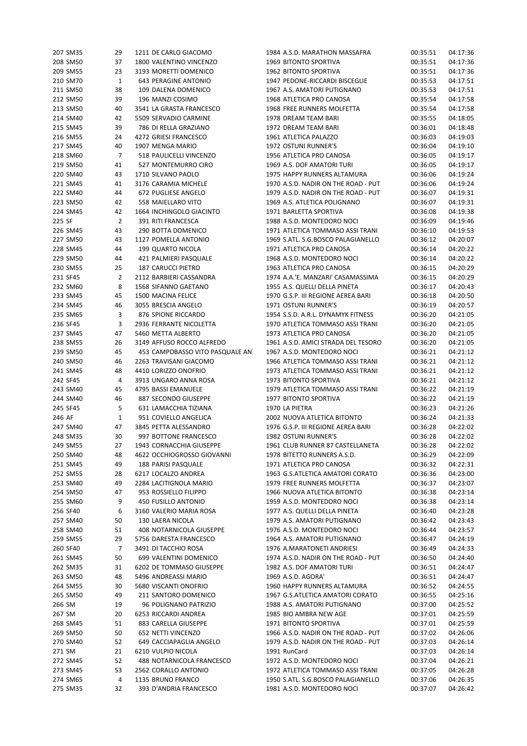| 207 SM35             | 29             | 1211 DE CARLO GIACOMO                       | 1984 A.S.D. MARATHON MASSAFRA                                    | 00:35:51             | 04:17:36             |
|----------------------|----------------|---------------------------------------------|------------------------------------------------------------------|----------------------|----------------------|
| 208 SM50             | 37             | 1800 VALENTINO VINCENZO                     | 1969 BITONTO SPORTIVA                                            | 00:35:51             | 04:17:36             |
| 209 SM55             | 23             | 3193 MORETTI DOMENICO                       | 1962 BITONTO SPORTIVA                                            | 00:35:51             | 04:17:36             |
| 210 SM70             | $\mathbf{1}$   | <b>643 PERAGINE ANTONIO</b>                 | 1947 PEDONE-RICCARDI BISCEGLIE                                   | 00:35:53             | 04:17:51             |
| 211 SM50             | 38             | 109 DALENA DOMENICO                         | 1967 A.S. AMATORI PUTIGNANO                                      | 00:35:53             | 04:17:51             |
| 212 SM50             | 39             | 196 MANZI COSIMO                            | 1968 ATLETICA PRO CANOSA                                         | 00:35:54             | 04:17:58             |
| 213 SM50             | 40             | 3541 LA GRASTA FRANCESCO                    | 1968 FREE RUNNERS MOLFETTA                                       | 00:35:54             | 04:17:58             |
| 214 SM40             | 42             | 5509 SERVADIO CARMINE                       | 1978 DREAM TEAM BARI                                             | 00:35:55             | 04:18:05             |
| 215 SM45             | 39             | 786 DI RELLA GRAZIANO                       | 1972 DREAM TEAM BARI                                             | 00:36:01             | 04:18:48             |
| 216 SM55             | 24             | 4272 GRIESI FRANCESCO                       | 1961 ATLETICA PALAZZO                                            | 00:36:03             | 04:19:03             |
| 217 SM45             | 40             | 1907 MENGA MARIO                            | 1972 OSTUNI RUNNER'S                                             | 00:36:04             | 04:19:10             |
| 218 SM60             | 7              | 518 PAULICELLI VINCENZO                     | 1956 ATLETICA PRO CANOSA                                         | 00:36:05             | 04:19:17             |
| 219 SM50             | 41             | 527 MONTEMURRO CIRO                         | 1969 A.S. DOF AMATORI TURI                                       | 00:36:05             | 04:19:17             |
| 220 SM40             | 43             | 1710 SILVANO PAOLO                          | 1975 HAPPY RUNNERS ALTAMURA                                      | 00:36:06             | 04:19:24             |
|                      |                |                                             |                                                                  |                      |                      |
| 221 SM45             | 41             | 3176 CARAMIA MICHELE                        | 1970 A.S.D. NADIR ON THE ROAD - PUT                              | 00:36:06             | 04:19:24             |
| 222 SM40             | 44             | 672 PUGLIESE ANGELO                         | 1979 A.S.D. NADIR ON THE ROAD - PUT                              | 00:36:07             | 04:19:31             |
| 223 SM50             | 42             | 558 MAIELLARO VITO                          | 1969 A.S. ATLETICA POLIGNANO                                     | 00:36:07             | 04:19:31             |
| 224 SM45             | 42             | 1664 INCHINGOLO GIACINTO                    | 1971 BARLETTA SPORTIVA                                           | 00:36:08             | 04:19:38             |
| 225 SF               | $\overline{2}$ | 391 RITI FRANCESCA                          | 1988 A.S.D. MONTEDORO NOCI                                       | 00:36:09             | 04:19:46             |
| 226 SM45             | 43             | 290 BOTTA DOMENICO                          | 1971 ATLETICA TOMMASO ASSI TRANI                                 | 00:36:10             | 04:19:53             |
| 227 SM50             | 43             | 1127 POMELLA ANTONIO                        | 1969 S.ATL. S.G.BOSCO PALAGIANELLO                               | 00:36:12             | 04:20:07             |
| 228 SM45             | 44             | 199 QUARTO NICOLA                           | 1971 ATLETICA PRO CANOSA                                         | 00:36:14             | 04:20:22             |
| 229 SM50             | 44             | 421 PALMIERI PASQUALE                       | 1968 A.S.D. MONTEDORO NOCI                                       | 00:36:14             | 04:20:22             |
| 230 SM55             | 25             | 187 CARUCCI PIETRO                          | 1963 ATLETICA PRO CANOSA                                         | 00:36:15             | 04:20:29             |
| 231 SF45             | 2              | 2112 BARBIERI CASSANDRA                     | 1974 A.A.'E. MANZARI' CASAMASSIMA                                | 00:36:15             | 04:20:29             |
| 232 SM60             | 8              | 1568 SIFANNO GAETANO                        | 1955 A.S. QUELLI DELLA PINETA                                    | 00:36:17             | 04:20:43             |
| 233 SM45             | 45             | 1500 MACINA FELICE                          | 1970 G.S.P. III REGIONE AEREA BARI                               | 00:36:18             | 04:20:50             |
| 234 SM45             | 46             | 3055 BRESCIA ANGELO                         | 1971 OSTUNI RUNNER'S                                             | 00:36:19             | 04:20:57             |
| 235 SM65             | 3              | 876 SPIONE RICCARDO                         | 1954 S.S.D. A.R.L. DYNAMYK FITNESS                               | 00:36:20             | 04:21:05             |
| 236 SF45             | 3              | 2936 FERRANTE NICOLETTA                     | 1970 ATLETICA TOMMASO ASSI TRANI                                 | 00:36:20             | 04:21:05             |
| 237 SM45             | 47             | 5460 METTA ALBERTO                          | 1973 ATLETICA PRO CANOSA                                         | 00:36:20             | 04:21:05             |
| 238 SM55             | 26             | 3149 AFFUSO ROCCO ALFREDO                   | 1961 A.S.D. AMICI STRADA DEL TESORO                              | 00:36:20             | 04:21:05             |
| 239 SM50             | 45             | 453 CAMPOBASSO VITO PASQUALE AN'            | 1967 A.S.D. MONTEDORO NOCI                                       | 00:36:21             | 04:21:12             |
| 240 SM50             | 46             | 2263 TRAVISANI GIACOMO                      | 1966 ATLETICA TOMMASO ASSI TRANI                                 | 00:36:21             | 04:21:12             |
| 241 SM45             | 48             | 4410 LORIZZO ONOFRIO                        | 1973 ATLETICA TOMMASO ASSI TRANI                                 | 00:36:21             | 04:21:12             |
| 242 SF45             | 4              | 3913 UNGARO ANNA ROSA                       | 1973 BITONTO SPORTIVA                                            | 00:36:21             | 04:21:12             |
| 243 SM40             | 45             | 4795 BASSI EMANUELE                         |                                                                  |                      | 04:21:19             |
|                      |                |                                             | 1979 ATLETICA TOMMASO ASSI TRANI                                 | 00:36:22             |                      |
| 244 SM40             | 46             | 887 SECONDO GIUSEPPE                        | 1977 BITONTO SPORTIVA                                            | 00:36:22             | 04:21:19             |
| 245 SF45             | 5              | 631 LAMACCHIA TIZIANA                       | 1970 LA PIETRA                                                   | 00:36:23             | 04:21:26             |
| 246 AF               | 1              | 951 COVIELLO ANGELICA                       | 2002 NUOVA ATLETICA BITONTO                                      | 00:36:24             | 04:21:33             |
| 247 SM40             | 47             | 3845 PETTA ALESSANDRO                       | 1976 G.S.P. III REGIONE AEREA BARI                               | 00:36:28             | 04:22:02             |
| 248 SM35             | 30             | 997 BOTTONE FRANCESCO                       | 1982 OSTUNI RUNNER'S                                             | 00:36:28             | 04:22:02             |
| 249 SM55             | 27             | 1943 CORNACCHIA GIUSEPPE                    | 1961 CLUB RUNNER 87 CASTELLANETA                                 | 00:36:28             | 04:22:02             |
| 250 SM40             | 48             | 4622 OCCHIOGROSSO GIOVANNI                  | 1978 BITETTO RUNNERS A.S.D.                                      | 00:36:29             | 04:22:09             |
| 251 SM45             | 49             | 188 PARISI PASQUALE                         | 1971 ATLETICA PRO CANOSA                                         | 00:36:32             | 04:22:31             |
| 252 SM55             | 28             | 6217 LOCALZO ANDREA                         | 1963 G.S.ATLETICA AMATORI CORATO                                 | 00:36:36             | 04:23:00             |
| 253 SM40             | 49             | 2284 LACITIGNOLA MARIO                      | 1979 FREE RUNNERS MOLFETTA                                       | 00:36:37             | 04:23:07             |
| 254 SM50             | 47             | 953 ROSSIELLO FILIPPO                       | 1966 NUOVA ATLETICA BITONTO                                      | 00:36:38             | 04:23:14             |
| 255 SM60             | 9              | 450 FUSILLO ANTONIO                         | 1959 A.S.D. MONTEDORO NOCI                                       | 00:36:38             | 04:23:14             |
| 256 SF40             | 6              | 3160 VALERIO MARIA ROSA                     | 1977 A.S. QUELLI DELLA PINETA                                    | 00:36:40             | 04:23:28             |
| 257 SM40             | 50             | 130 LAERA NICOLA                            | 1979 A.S. AMATORI PUTIGNANO                                      | 00:36:42             | 04:23:43             |
| 258 SM40             | 51             | 408 NOTARNICOLA GIUSEPPE                    | 1976 A.S.D. MONTEDORO NOCI                                       | 00:36:44             | 04:23:57             |
| 259 SM55             | 29             | 5756 DARESTA FRANCESCO                      | 1964 A.S. AMATORI PUTIGNANO                                      | 00:36:47             | 04:24:19             |
| 260 SF40             | 7              | 3491 DI TACCHIO ROSA                        | 1976 A.MARATONETI ANDRIESI                                       | 00:36:49             | 04:24:33             |
| 261 SM45             | 50             | 699 VALENTINI DOMENICO                      | 1974 A.S.D. NADIR ON THE ROAD - PUT                              | 00:36:50             | 04:24:40             |
| 262 SM35             | 31             | 6202 DE TOMMASO GIUSEPPE                    | 1982 A.S. DOF AMATORI TURI                                       | 00:36:51             | 04:24:47             |
| 263 SM50             | 48             | 5496 ANDREASSI MARIO                        | 1969 A.S.D. AGORA'                                               | 00:36:51             | 04:24:47             |
| 264 SM55             | 30             | 5680 VISCANTI ONOFRIO                       | 1960 HAPPY RUNNERS ALTAMURA                                      | 00:36:52             | 04:24:55             |
| 265 SM50             | 49             | 211 SANTORO DOMENICO                        | 1967 G.S.ATLETICA AMATORI CORATO                                 | 00:36:55             | 04:25:16             |
| 266 SM               | 19             | 96 POLIGNANO PATRIZIO                       | 1988 A.S. AMATORI PUTIGNANO                                      | 00:37:00             | 04:25:52             |
|                      | 20             | 6253 RICCARDI ANDREA                        | 1985 BIO AMBRA NEW AGE                                           | 00:37:01             |                      |
| 267 SM               |                |                                             |                                                                  |                      | 04:25:59             |
| 268 SM45             | 51<br>50       | 883 CARELLA GIUSEPPE                        | 1971 BITONTO SPORTIVA                                            | 00:37:01             | 04:25:59             |
| 269 SM50             |                | 652 NETTI VINCENZO                          | 1966 A.S.D. NADIR ON THE ROAD - PUT                              | 00:37:02             | 04:26:06             |
|                      |                |                                             |                                                                  |                      |                      |
| 270 SM40             | 52             | 649 CACCIAPAGLIA ANGELO                     | 1979 A.S.D. NADIR ON THE ROAD - PUT                              | 00:37:03             | 04:26:14             |
| 271 SM               | 21             | 6210 VULPIO NICOLA                          | 1991 RunCard                                                     | 00:37:03             | 04:26:14             |
| 272 SM45             | 52             | 488 NOTARNICOLA FRANCESCO                   | 1972 A.S.D. MONTEDORO NOCI                                       | 00:37:04             | 04:26:21             |
| 273 SM45             | 53             | 2562 CORALLO ANTONIO                        | 1972 ATLETICA TOMMASO ASSI TRANI                                 | 00:37:05             | 04:26:28             |
| 274 SM65<br>275 SM35 | 4<br>32        | 1135 BRUNO FRANCO<br>393 D'ANDRIA FRANCESCO | 1950 S.ATL. S.G.BOSCO PALAGIANELLO<br>1981 A.S.D. MONTEDORO NOCI | 00:37:06<br>00:37:07 | 04:26:35<br>04:26:42 |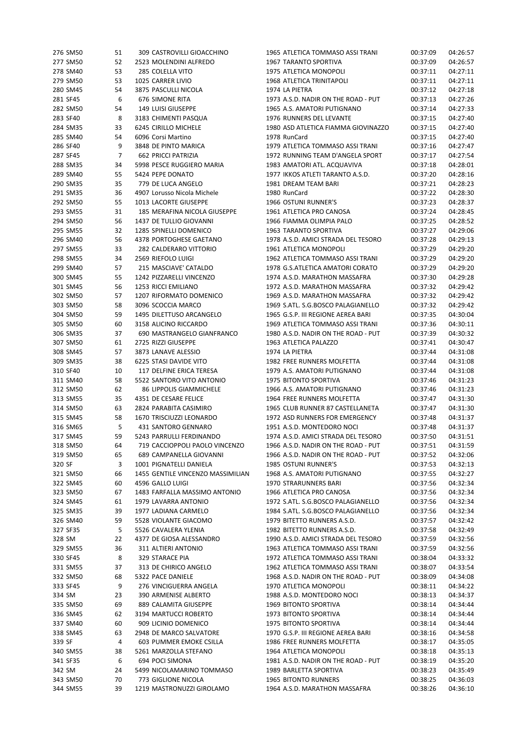| 276 SM50 | 51 | 309 CASTROVILLI GIOACCHINO        | 1965 ATLETICA TOMMASO ASSI TRANI    | 00:37:09 | 04:26:57 |
|----------|----|-----------------------------------|-------------------------------------|----------|----------|
| 277 SM50 | 52 | 2523 MOLENDINI ALFREDO            | 1967 TARANTO SPORTIVA               | 00:37:09 | 04:26:57 |
| 278 SM40 | 53 | 285 COLELLA VITO                  | 1975 ATLETICA MONOPOLI              | 00:37:11 | 04:27:11 |
| 279 SM50 | 53 | 1025 CARRER LIVIO                 | 1968 ATLETICA TRINITAPOLI           | 00:37:11 | 04:27:11 |
| 280 SM45 | 54 | 3875 PASCULLI NICOLA              | 1974 LA PIETRA                      | 00:37:12 | 04:27:18 |
| 281 SF45 | 6  | <b>676 SIMONE RITA</b>            | 1973 A.S.D. NADIR ON THE ROAD - PUT | 00:37:13 | 04:27:26 |
| 282 SM50 | 54 | 149 LUISI GIUSEPPE                | 1965 A.S. AMATORI PUTIGNANO         | 00:37:14 | 04:27:33 |
| 283 SF40 | 8  | 3183 CHIMENTI PASQUA              | 1976 RUNNERS DEL LEVANTE            | 00:37:15 | 04:27:40 |
| 284 SM35 | 33 | 6245 CIRILLO MICHELE              | 1980 ASD ATLETICA FIAMMA GIOVINAZZO | 00:37:15 | 04:27:40 |
| 285 SM40 | 54 | 6096 Corsi Martino                | 1978 RunCard                        | 00:37:15 | 04:27:40 |
| 286 SF40 | 9  | 3848 DE PINTO MARICA              | 1979 ATLETICA TOMMASO ASSI TRANI    | 00:37:16 | 04:27:47 |
| 287 SF45 | 7  | <b>662 PRICCI PATRIZIA</b>        | 1972 RUNNING TEAM D'ANGELA SPORT    | 00:37:17 | 04:27:54 |
| 288 SM35 | 34 | 5998 PESCE RUGGIERO MARIA         | 1983 AMATORI ATL. ACQUAVIVA         | 00:37:18 | 04:28:01 |
| 289 SM40 | 55 | 5424 PEPE DONATO                  | 1977 IKKOS ATLETI TARANTO A.S.D.    | 00:37:20 | 04:28:16 |
| 290 SM35 | 35 | 779 DE LUCA ANGELO                | 1981 DREAM TEAM BARI                | 00:37:21 | 04:28:23 |
| 291 SM35 | 36 | 4907 Lorusso Nicola Michele       | 1980 RunCard                        | 00:37:22 | 04:28:30 |
| 292 SM50 | 55 | 1013 LACORTE GIUSEPPE             | 1966 OSTUNI RUNNER'S                | 00:37:23 | 04:28:37 |
| 293 SM55 | 31 | 185 MERAFINA NICOLA GIUSEPPE      | 1961 ATLETICA PRO CANOSA            | 00:37:24 | 04:28:45 |
| 294 SM50 | 56 | 1437 DE TULLIO GIOVANNI           | 1966 FIAMMA OLIMPIA PALO            | 00:37:25 | 04:28:52 |
| 295 SM55 | 32 | 1285 SPINELLI DOMENICO            | 1963 TARANTO SPORTIVA               | 00:37:27 | 04:29:06 |
|          |    |                                   |                                     |          |          |
| 296 SM40 | 56 | 4378 PORTOGHESE GAETANO           | 1978 A.S.D. AMICI STRADA DEL TESORO | 00:37:28 | 04:29:13 |
| 297 SM55 | 33 | 282 CALDERARO VITTORIO            | 1961 ATLETICA MONOPOLI              | 00:37:29 | 04:29:20 |
| 298 SM55 | 34 | 2569 RIEFOLO LUIGI                | 1962 ATLETICA TOMMASO ASSI TRANI    | 00:37:29 | 04:29:20 |
| 299 SM40 | 57 | 215 MASCIAVE' CATALDO             | 1978 G.S.ATLETICA AMATORI CORATO    | 00:37:29 | 04:29:20 |
| 300 SM45 | 55 | 1242 PIZZARELLI VINCENZO          | 1974 A.S.D. MARATHON MASSAFRA       | 00:37:30 | 04:29:28 |
| 301 SM45 | 56 | 1253 RICCI EMILIANO               | 1972 A.S.D. MARATHON MASSAFRA       | 00:37:32 | 04:29:42 |
| 302 SM50 | 57 | 1207 RIFORMATO DOMENICO           | 1969 A.S.D. MARATHON MASSAFRA       | 00:37:32 | 04:29:42 |
| 303 SM50 | 58 | 3096 SCOCCIA MARCO                | 1969 S.ATL. S.G.BOSCO PALAGIANELLO  | 00:37:32 | 04:29:42 |
| 304 SM50 | 59 | 1495 DILETTUSO ARCANGELO          | 1965 G.S.P. III REGIONE AEREA BARI  | 00:37:35 | 04:30:04 |
| 305 SM50 | 60 | 3158 ALICINO RICCARDO             | 1969 ATLETICA TOMMASO ASSI TRANI    | 00:37:36 | 04:30:11 |
| 306 SM35 | 37 | 690 MASTRANGELO GIANFRANCO        | 1980 A.S.D. NADIR ON THE ROAD - PUT | 00:37:39 | 04:30:32 |
| 307 SM50 | 61 | 2725 RIZZI GIUSEPPE               | 1963 ATLETICA PALAZZO               | 00:37:41 | 04:30:47 |
| 308 SM45 | 57 | 3873 LANAVE ALESSIO               | 1974 LA PIETRA                      | 00:37:44 | 04:31:08 |
| 309 SM35 | 38 | 6225 STASI DAVIDE VITO            | 1982 FREE RUNNERS MOLFETTA          | 00:37:44 | 04:31:08 |
| 310 SF40 | 10 | 117 DELFINE ERICA TERESA          | 1979 A.S. AMATORI PUTIGNANO         | 00:37:44 | 04:31:08 |
| 311 SM40 | 58 | 5522 SANTORO VITO ANTONIO         | 1975 BITONTO SPORTIVA               | 00:37:46 | 04:31:23 |
| 312 SM50 | 62 | 86 LIPPOLIS GIAMMICHELE           | 1966 A.S. AMATORI PUTIGNANO         | 00:37:46 | 04:31:23 |
| 313 SM55 | 35 | 4351 DE CESARE FELICE             | 1964 FREE RUNNERS MOLFETTA          | 00:37:47 | 04:31:30 |
| 314 SM50 | 63 | 2824 PARABITA CASIMIRO            | 1965 CLUB RUNNER 87 CASTELLANETA    | 00:37:47 | 04:31:30 |
| 315 SM45 | 58 | 1670 TRISCIUZZI LEONARDO          | 1972 ASD RUNNERS FOR EMERGENCY      | 00:37:48 | 04:31:37 |
| 316 SM65 | 5  | 431 SANTORO GENNARO               | 1951 A.S.D. MONTEDORO NOCI          | 00:37:48 | 04:31:37 |
| 317 SM45 | 59 | 5243 PARRULLI FERDINANDO          | 1974 A.S.D. AMICI STRADA DEL TESORO | 00:37:50 | 04:31:51 |
| 318 SM50 | 64 | 719 CACCIOPPOLI PAOLO VINCENZO    | 1966 A.S.D. NADIR ON THE ROAD - PUT | 00:37:51 | 04:31:59 |
| 319 SM50 | 65 | 689 CAMPANELLA GIOVANNI           | 1966 A.S.D. NADIR ON THE ROAD - PUT | 00:37:52 | 04:32:06 |
| 320 SF   | 3  | 1001 PIGNATELLI DANIELA           | 1985 OSTUNI RUNNER'S                | 00:37:53 | 04:32:13 |
| 321 SM50 | 66 | 1455 GENTILE VINCENZO MASSIMILIAN | 1968 A.S. AMATORI PUTIGNANO         | 00:37:55 | 04:32:27 |
| 322 SM45 | 60 | 4596 GALLO LUIGI                  | 1970 STRARUNNERS BARI               | 00:37:56 | 04:32:34 |
| 323 SM50 | 67 | 1483 FARFALLA MASSIMO ANTONIO     | 1966 ATLETICA PRO CANOSA            | 00:37:56 | 04:32:34 |
| 324 SM45 | 61 | 1979 LAVARRA ANTONIO              | 1972 S.ATL. S.G.BOSCO PALAGIANELLO  | 00:37:56 | 04:32:34 |
| 325 SM35 | 39 | 1977 LADIANA CARMELO              | 1984 S.ATL. S.G.BOSCO PALAGIANELLO  | 00:37:56 | 04:32:34 |
| 326 SM40 | 59 | 5528 VIOLANTE GIACOMO             | 1979 BITETTO RUNNERS A.S.D.         | 00:37:57 | 04:32:42 |
| 327 SF35 | 5  | 5526 CAVALERA YLENIA              | 1982 BITETTO RUNNERS A.S.D.         | 00:37:58 | 04:32:49 |
| 328 SM   | 22 | 4377 DE GIOSA ALESSANDRO          | 1990 A.S.D. AMICI STRADA DEL TESORO | 00:37:59 | 04:32:56 |
| 329 SM55 | 36 | 311 ALTIERI ANTONIO               | 1963 ATLETICA TOMMASO ASSI TRANI    | 00:37:59 | 04:32:56 |
| 330 SF45 | 8  | 329 STARACE PIA                   | 1972 ATLETICA TOMMASO ASSI TRANI    | 00:38:04 | 04:33:32 |
| 331 SM55 | 37 | 313 DE CHIRICO ANGELO             | 1962 ATLETICA TOMMASO ASSI TRANI    | 00:38:07 | 04:33:54 |
| 332 SM50 | 68 | 5322 PACE DANIELE                 | 1968 A.S.D. NADIR ON THE ROAD - PUT | 00:38:09 | 04:34:08 |
| 333 SF45 | 9  | 276 VINCIGUERRA ANGELA            | 1970 ATLETICA MONOPOLI              | 00:38:11 | 04:34:22 |
| 334 SM   | 23 | 390 ARMENISE ALBERTO              | 1988 A.S.D. MONTEDORO NOCI          | 00:38:13 | 04:34:37 |
| 335 SM50 | 69 | 889 CALAMITA GIUSEPPE             | 1969 BITONTO SPORTIVA               | 00:38:14 | 04:34:44 |
| 336 SM45 | 62 | 3194 MARTUCCI ROBERTO             | 1973 BITONTO SPORTIVA               | 00:38:14 | 04:34:44 |
| 337 SM40 | 60 | 909 LICINIO DOMENICO              | 1975 BITONTO SPORTIVA               | 00:38:14 | 04:34:44 |
| 338 SM45 | 63 | 2948 DE MARCO SALVATORE           | 1970 G.S.P. III REGIONE AEREA BARI  | 00:38:16 | 04:34:58 |
| 339 SF   | 4  | 603 PUMMER EMOKE CSILLA           | 1986 FREE RUNNERS MOLFETTA          | 00:38:17 | 04:35:05 |
|          |    |                                   | 1964 ATLETICA MONOPOLI              |          | 04:35:13 |
| 340 SM55 | 38 | 5261 MARZOLLA STEFANO             |                                     | 00:38:18 | 04:35:20 |
| 341 SF35 | 6  | 694 POCI SIMONA                   | 1981 A.S.D. NADIR ON THE ROAD - PUT | 00:38:19 | 04:35:49 |
| 342 SM   | 24 | 5499 NICOLAMARINO TOMMASO         | 1989 BARLETTA SPORTIVA              | 00:38:23 |          |
| 343 SM50 | 70 | 773 GIGLIONE NICOLA               | 1965 BITONTO RUNNERS                | 00:38:25 | 04:36:03 |
| 344 SM55 | 39 | 1219 MASTRONUZZI GIROLAMO         | 1964 A.S.D. MARATHON MASSAFRA       | 00:38:26 | 04:36:10 |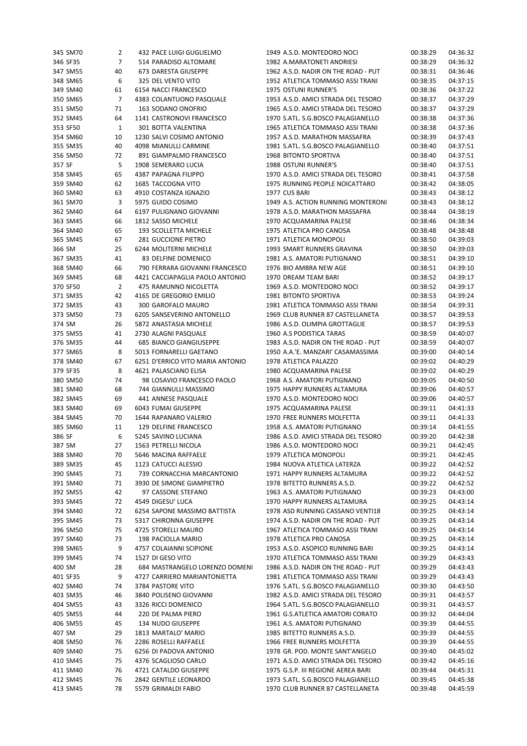| 345 SM70 | 2            | 432 PACE LUIGI GUGLIELMO         | 1949 A.S.D. MONTEDORO NOCI          | 00:38:29 | 04:36:32 |
|----------|--------------|----------------------------------|-------------------------------------|----------|----------|
| 346 SF35 | 7            | 514 PARADISO ALTOMARE            | 1982 A.MARATONETI ANDRIESI          | 00:38:29 | 04:36:32 |
| 347 SM55 | 40           | 673 DARESTA GIUSEPPE             | 1962 A.S.D. NADIR ON THE ROAD - PUT | 00:38:31 | 04:36:46 |
| 348 SM65 | 6            | 325 DEL VENTO VITO               | 1952 ATLETICA TOMMASO ASSI TRANI    | 00:38:35 | 04:37:15 |
| 349 SM40 | 61           | 6154 NACCI FRANCESCO             | 1975 OSTUNI RUNNER'S                | 00:38:36 | 04:37:22 |
| 350 SM65 | 7            | 4383 COLANTUONO PASQUALE         | 1953 A.S.D. AMICI STRADA DEL TESORO | 00:38:37 | 04:37:29 |
| 351 SM50 | 71           | 163 SODANO ONOFRIO               | 1965 A.S.D. AMICI STRADA DEL TESORO | 00:38:37 | 04:37:29 |
| 352 SM45 | 64           | 1141 CASTRONOVI FRANCESCO        | 1970 S.ATL. S.G.BOSCO PALAGIANELLO  | 00:38:38 | 04:37:36 |
| 353 SF50 | $\mathbf{1}$ | 301 BOTTA VALENTINA              | 1965 ATLETICA TOMMASO ASSI TRANI    | 00:38:38 | 04:37:36 |
| 354 SM60 | 10           | 1230 SALVI COSIMO ANTONIO        | 1957 A.S.D. MARATHON MASSAFRA       | 00:38:39 | 04:37:43 |
| 355 SM35 | 40           | 4098 MIANULLI CARMINE            | 1981 S.ATL. S.G.BOSCO PALAGIANELLO  | 00:38:40 | 04:37:51 |
|          |              |                                  |                                     |          |          |
| 356 SM50 | 72           | 891 GIAMPALMO FRANCESCO          | 1968 BITONTO SPORTIVA               | 00:38:40 | 04:37:51 |
| 357 SF   | 5            | 1908 SEMERARO LUCIA              | 1988 OSTUNI RUNNER'S                | 00:38:40 | 04:37:51 |
| 358 SM45 | 65           | 4387 PAPAGNA FILIPPO             | 1970 A.S.D. AMICI STRADA DEL TESORO | 00:38:41 | 04:37:58 |
| 359 SM40 | 62           | 1685 TACCOGNA VITO               | 1975 RUNNING PEOPLE NOICATTARO      | 00:38:42 | 04:38:05 |
| 360 SM40 | 63           | 4910 COSTANZA IGNAZIO            | 1977 CUS BARI                       | 00:38:43 | 04:38:12 |
| 361 SM70 | 3            | 5975 GUIDO COSIMO                | 1949 A.S. ACTION RUNNING MONTERONI  | 00:38:43 | 04:38:12 |
| 362 SM40 | 64           | 6197 PULIGNANO GIOVANNI          | 1978 A.S.D. MARATHON MASSAFRA       | 00:38:44 | 04:38:19 |
| 363 SM45 | 66           | 1812 SASSO MICHELE               | 1970 ACQUAMARINA PALESE             | 00:38:46 | 04:38:34 |
| 364 SM40 | 65           | 193 SCOLLETTA MICHELE            | 1975 ATLETICA PRO CANOSA            | 00:38:48 | 04:38:48 |
| 365 SM45 | 67           | 281 GUCCIONE PIETRO              | 1971 ATLETICA MONOPOLI              | 00:38:50 | 04:39:03 |
| 366 SM   | 25           | 6244 MOLITERNI MICHELE           | 1993 SMART RUNNERS GRAVINA          | 00:38:50 | 04:39:03 |
| 367 SM35 | 41           | 83 DELFINE DOMENICO              | 1981 A.S. AMATORI PUTIGNANO         | 00:38:51 | 04:39:10 |
| 368 SM40 | 66           | 790 FERRARA GIOVANNI FRANCESCO   | 1976 BIO AMBRA NEW AGE              | 00:38:51 | 04:39:10 |
| 369 SM45 | 68           | 4421 CACCIAPAGLIA PAOLO ANTONIO  | 1970 DREAM TEAM BARI                | 00:38:52 | 04:39:17 |
| 370 SF50 | 2            | 475 RAMUNNO NICOLETTA            | 1969 A.S.D. MONTEDORO NOCI          | 00:38:52 | 04:39:17 |
| 371 SM35 | 42           | 4165 DE GREGORIO EMILIO          | 1981 BITONTO SPORTIVA               | 00:38:53 | 04:39:24 |
|          |              |                                  | 1981 ATLETICA TOMMASO ASSI TRANI    |          |          |
| 372 SM35 | 43           | 300 GAROFALO MAURO               |                                     | 00:38:54 | 04:39:31 |
| 373 SM50 | 73           | 6205 SANSEVERINO ANTONELLO       | 1969 CLUB RUNNER 87 CASTELLANETA    | 00:38:57 | 04:39:53 |
| 374 SM   | 26           | 5872 ANASTASIA MICHELE           | 1986 A.S.D. OLIMPIA GROTTAGLIE      | 00:38:57 | 04:39:53 |
| 375 SM55 | 41           | 2730 ALAGNI PASQUALE             | 1960 A.S PODISTICA TARAS            | 00:38:59 | 04:40:07 |
| 376 SM35 | 44           | <b>685 BIANCO GIANGIUSEPPE</b>   | 1983 A.S.D. NADIR ON THE ROAD - PUT | 00:38:59 | 04:40:07 |
| 377 SM65 | 8            | 5013 FORNARELLI GAETANO          | 1950 A.A.'E. MANZARI' CASAMASSIMA   | 00:39:00 | 04:40:14 |
| 378 SM40 | 67           | 6251 D'ERRICO VITO MARIA ANTONIO | 1978 ATLETICA PALAZZO               | 00:39:02 | 04:40:29 |
| 379 SF35 | 8            | 4621 PALASCIANO ELISA            | 1980 ACQUAMARINA PALESE             | 00:39:02 | 04:40:29 |
| 380 SM50 | 74           | 98 LOSAVIO FRANCESCO PAOLO       | 1968 A.S. AMATORI PUTIGNANO         | 00:39:05 | 04:40:50 |
| 381 SM40 | 68           | 744 GIANNULLI MASSIMO            | 1975 HAPPY RUNNERS ALTAMURA         | 00:39:06 | 04:40:57 |
| 382 SM45 | 69           | 441 ANNESE PASQUALE              | 1970 A.S.D. MONTEDORO NOCI          | 00:39:06 | 04:40:57 |
| 383 SM40 | 69           | 6043 FUMAI GIUSEPPE              | 1975 ACQUAMARINA PALESE             | 00:39:11 | 04:41:33 |
| 384 SM45 | 70           | 1644 RAPANARO VALERIO            | 1970 FREE RUNNERS MOLFETTA          | 00:39:11 | 04:41:33 |
| 385 SM60 | 11           | 129 DELFINE FRANCESCO            | 1958 A.S. AMATORI PUTIGNANO         | 00:39:14 | 04:41:55 |
| 386 SF   | 6            | 5245 SAVINO LUCIANA              | 1986 A.S.D. AMICI STRADA DEL TESORO | 00:39:20 | 04:42:38 |
| 387 SM   | 27           | 1563 PETRELLI NICOLA             | 1986 A.S.D. MONTEDORO NOCI          | 00:39:21 | 04:42:45 |
|          |              |                                  |                                     |          |          |
| 388 SM40 | 70           | 5646 MACINA RAFFAELE             | 1979 ATLETICA MONOPOLI              | 00:39:21 | 04:42:45 |
| 389 SM35 | 45           | 1123 CATUCCI ALESSIO             | 1984 NUOVA ATLETICA LATERZA         | 00:39:22 | 04:42:52 |
| 390 SM45 | 71           | 739 CORNACCHIA MARCANTONIO       | 1971 HAPPY RUNNERS ALTAMURA         | 00:39:22 | 04:42:52 |
| 391 SM40 | 71           | 3930 DE SIMONE GIAMPIETRO        | 1978 BITETTO RUNNERS A.S.D.         | 00:39:22 | 04:42:52 |
| 392 SM55 | 42           | 97 CASSONE STEFANO               | 1963 A.S. AMATORI PUTIGNANO         | 00:39:23 | 04:43:00 |
| 393 SM45 | 72           | 4549 DIGESU' LUCA                | 1970 HAPPY RUNNERS ALTAMURA         | 00:39:25 | 04:43:14 |
| 394 SM40 | 72           | 6254 SAPONE MASSIMO BATTISTA     | 1978 ASD RUNNING CASSANO VENTI18    | 00:39:25 | 04:43:14 |
| 395 SM45 | 73           | 5317 CHIRONNA GIUSEPPE           | 1974 A.S.D. NADIR ON THE ROAD - PUT | 00:39:25 | 04:43:14 |
| 396 SM50 | 75           | 4725 STORELLI MAURO              | 1967 ATLETICA TOMMASO ASSI TRANI    | 00:39:25 | 04:43:14 |
| 397 SM40 | 73           | 198 PACIOLLA MARIO               | 1978 ATLETICA PRO CANOSA            | 00:39:25 | 04:43:14 |
| 398 SM65 | 9            | 4757 COLAIANNI SCIPIONE          | 1953 A.S.D. ASOPICO RUNNING BARI    | 00:39:25 | 04:43:14 |
| 399 SM45 | 74           | 1527 DI GESO VITO                | 1970 ATLETICA TOMMASO ASSI TRANI    | 00:39:29 | 04:43:43 |
| 400 SM   | 28           | 684 MASTRANGELO LORENZO DOMENI   | 1986 A.S.D. NADIR ON THE ROAD - PUT | 00:39:29 | 04:43:43 |
| 401 SF35 | 9            | 4727 CARRIERO MARIANTONIETTA     | 1981 ATLETICA TOMMASO ASSI TRANI    | 00:39:29 | 04:43:43 |
| 402 SM40 | 74           | 3784 PASTORE VITO                | 1976 S.ATL. S.G.BOSCO PALAGIANELLO  | 00:39:30 | 04:43:50 |
|          |              |                                  |                                     |          |          |
| 403 SM35 | 46           | 3840 POLISENO GIOVANNI           | 1982 A.S.D. AMICI STRADA DEL TESORO | 00:39:31 | 04:43:57 |
| 404 SM55 | 43           | 3326 RICCI DOMENICO              | 1964 S.ATL. S.G.BOSCO PALAGIANELLO  | 00:39:31 | 04:43:57 |
| 405 SM55 | 44           | 220 DE PALMA PIERO               | 1961 G.S.ATLETICA AMATORI CORATO    | 00:39:32 | 04:44:04 |
| 406 SM55 | 45           | 134 NUDO GIUSEPPE                | 1961 A.S. AMATORI PUTIGNANO         | 00:39:39 | 04:44:55 |
| 407 SM   | 29           | 1813 MARTALO' MARIO              | 1985 BITETTO RUNNERS A.S.D.         | 00:39:39 | 04:44:55 |
| 408 SM50 | 76           | 2286 ROSELLI RAFFAELE            | 1966 FREE RUNNERS MOLFETTA          | 00:39:39 | 04:44:55 |
| 409 SM40 | 75           | 6256 DI PADOVA ANTONIO           | 1978 GR. POD. MONTE SANT'ANGELO     | 00:39:40 | 04:45:02 |
| 410 SM45 | 75           | 4376 SCAGLIOSO CARLO             | 1971 A.S.D. AMICI STRADA DEL TESORO | 00:39:42 | 04:45:16 |
| 411 SM40 | 76           | 4721 CATALDO GIUSEPPE            | 1975 G.S.P. III REGIONE AEREA BARI  | 00:39:44 | 04:45:31 |
| 412 SM45 | 76           | 2842 GENTILE LEONARDO            | 1973 S.ATL. S.G.BOSCO PALAGIANELLO  | 00:39:45 | 04:45:38 |
| 413 SM45 | 78           | 5579 GRIMALDI FABIO              | 1970 CLUB RUNNER 87 CASTELLANETA    | 00:39:48 | 04:45:59 |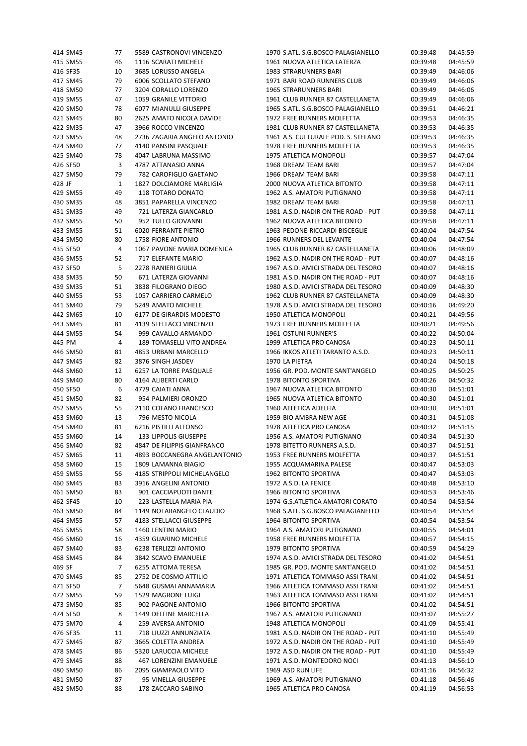| 414 SM45 | 77 | 5589 CASTRONOVI VINCENZO     | 1970 S.ATL. S.G.BOSCO PALAGIANELLO  | 00:39:48 | 04:45:59 |
|----------|----|------------------------------|-------------------------------------|----------|----------|
| 415 SM55 | 46 | 1116 SCARATI MICHELE         | 1961 NUOVA ATLETICA LATERZA         | 00:39:48 | 04:45:59 |
| 416 SF35 | 10 | 3685 LORUSSO ANGELA          | 1983 STRARUNNERS BARI               | 00:39:49 | 04:46:06 |
| 417 SM45 | 79 | 6006 SCOLLATO STEFANO        | 1971 BARI ROAD RUNNERS CLUB         | 00:39:49 | 04:46:06 |
| 418 SM50 | 77 | 3204 CORALLO LORENZO         | 1965 STRARUNNERS BARI               | 00:39:49 | 04:46:06 |
| 419 SM55 | 47 | 1059 GRANILE VITTORIO        | 1961 CLUB RUNNER 87 CASTELLANETA    | 00:39:49 | 04:46:06 |
| 420 SM50 | 78 | 6077 MIANULLI GIUSEPPE       | 1965 S.ATL. S.G.BOSCO PALAGIANELLO  | 00:39:51 | 04:46:21 |
| 421 SM45 | 80 | 2625 AMATO NICOLA DAVIDE     | 1972 FREE RUNNERS MOLFETTA          | 00:39:53 | 04:46:35 |
| 422 SM35 | 47 | 3966 ROCCO VINCENZO          | 1981 CLUB RUNNER 87 CASTELLANETA    | 00:39:53 | 04:46:35 |
| 423 SM55 | 48 | 2736 ZAGARIA ANGELO ANTONIO  | 1961 A.S. CULTURALE POD. S. STEFANO | 00:39:53 | 04:46:35 |
| 424 SM40 | 77 | 4140 PANSINI PASQUALE        | 1978 FREE RUNNERS MOLFETTA          | 00:39:53 | 04:46:35 |
| 425 SM40 | 78 | 4047 LABRUNA MASSIMO         | 1975 ATLETICA MONOPOLI              | 00:39:57 | 04:47:04 |
| 426 SF50 | 3  | 4787 ATTANASIO ANNA          | 1968 DREAM TEAM BARI                | 00:39:57 | 04:47:04 |
| 427 SM50 | 79 | 782 CAROFIGLIO GAETANO       | 1966 DREAM TEAM BARI                | 00:39:58 | 04:47:11 |
| 428 JF   | 1  | 1827 DOLCIAMORE MARLIGIA     | 2000 NUOVA ATLETICA BITONTO         | 00:39:58 | 04:47:11 |
| 429 SM55 | 49 | 118 TOTARO DONATO            | 1962 A.S. AMATORI PUTIGNANO         | 00:39:58 | 04:47:11 |
|          |    |                              | 1982 DREAM TEAM BARI                |          |          |
| 430 SM35 | 48 | 3851 PAPARELLA VINCENZO      |                                     | 00:39:58 | 04:47:11 |
| 431 SM35 | 49 | 721 LATERZA GIANCARLO        | 1981 A.S.D. NADIR ON THE ROAD - PUT | 00:39:58 | 04:47:11 |
| 432 SM55 | 50 | 952 TULLO GIOVANNI           | 1962 NUOVA ATLETICA BITONTO         | 00:39:58 | 04:47:11 |
| 433 SM55 | 51 | 6020 FERRANTE PIETRO         | 1963 PEDONE-RICCARDI BISCEGLIE      | 00:40:04 | 04:47:54 |
| 434 SM50 | 80 | 1758 FIORE ANTONIO           | 1966 RUNNERS DEL LEVANTE            | 00:40:04 | 04:47:54 |
| 435 SF50 | 4  | 1067 PAVONE MARIA DOMENICA   | 1965 CLUB RUNNER 87 CASTELLANETA    | 00:40:06 | 04:48:09 |
| 436 SM55 | 52 | 717 ELEFANTE MARIO           | 1962 A.S.D. NADIR ON THE ROAD - PUT | 00:40:07 | 04:48:16 |
| 437 SF50 | 5  | 2278 RANIERI GIULIA          | 1967 A.S.D. AMICI STRADA DEL TESORO | 00:40:07 | 04:48:16 |
| 438 SM35 | 50 | 671 LATERZA GIOVANNI         | 1981 A.S.D. NADIR ON THE ROAD - PUT | 00:40:07 | 04:48:16 |
| 439 SM35 | 51 | 3838 FILOGRANO DIEGO         | 1980 A.S.D. AMICI STRADA DEL TESORO | 00:40:09 | 04:48:30 |
| 440 SM55 | 53 | 1057 CARRIERO CARMELO        | 1962 CLUB RUNNER 87 CASTELLANETA    | 00:40:09 | 04:48:30 |
| 441 SM40 | 79 | 5249 AMATO MICHELE           | 1978 A.S.D. AMICI STRADA DEL TESORO | 00:40:16 | 04:49:20 |
| 442 SM65 | 10 | 6177 DE GIRARDIS MODESTO     | 1950 ATLETICA MONOPOLI              | 00:40:21 | 04:49:56 |
| 443 SM45 | 81 | 4139 STELLACCI VINCENZO      | 1973 FREE RUNNERS MOLFETTA          | 00:40:21 | 04:49:56 |
| 444 SM55 | 54 | 999 CAVALLO ARMANDO          | 1961 OSTUNI RUNNER'S                | 00:40:22 | 04:50:04 |
| 445 PM   | 4  | 189 TOMASELLI VITO ANDREA    | 1999 ATLETICA PRO CANOSA            | 00:40:23 | 04:50:11 |
| 446 SM50 | 81 | 4853 URBANI MARCELLO         | 1966 IKKOS ATLETI TARANTO A.S.D.    | 00:40:23 | 04:50:11 |
| 447 SM45 | 82 | 3876 SINGH JASDEV            | 1970 LA PIETRA                      | 00:40:24 | 04:50:18 |
| 448 SM60 | 12 | 6257 LA TORRE PASQUALE       | 1956 GR. POD. MONTE SANT'ANGELO     | 00:40:25 | 04:50:25 |
| 449 SM40 | 80 | 4164 ALIBERTI CARLO          | 1978 BITONTO SPORTIVA               | 00:40:26 | 04:50:32 |
| 450 SF50 | 6  | 4779 CAIATI ANNA             | 1967 NUOVA ATLETICA BITONTO         | 00:40:30 | 04:51:01 |
| 451 SM50 | 82 | 954 PALMIERI ORONZO          | 1965 NUOVA ATLETICA BITONTO         | 00:40:30 | 04:51:01 |
| 452 SM55 | 55 | 2110 COFANO FRANCESCO        | 1960 ATLETICA ADELFIA               | 00:40:30 | 04:51:01 |
| 453 SM60 | 13 | 796 MESTO NICOLA             | 1959 BIO AMBRA NEW AGE              | 00:40:31 | 04:51:08 |
| 454 SM40 | 81 | 6216 PISTILLI ALFONSO        | 1978 ATLETICA PRO CANOSA            | 00:40:32 | 04:51:15 |
| 455 SM60 | 14 | 133 LIPPOLIS GIUSEPPE        | 1956 A.S. AMATORI PUTIGNANO         | 00:40:34 | 04:51:30 |
| 456 SM40 | 82 | 4847 DE FILIPPIS GIANFRANCO  | 1978 BITETTO RUNNERS A.S.D.         | 00:40:37 | 04:51:51 |
| 457 SM65 | 11 | 4893 BOCCANEGRA ANGELANTONIO | 1953 FREE RUNNERS MOLFETTA          | 00:40:37 | 04:51:51 |
| 458 SM60 | 15 | 1809 LAMANNA BIAGIO          | 1955 ACQUAMARINA PALESE             | 00:40:47 | 04:53:03 |
| 459 SM55 | 56 | 4185 STRIPPOLI MICHELANGELO  | 1962 BITONTO SPORTIVA               | 00:40:47 | 04:53:03 |
| 460 SM45 | 83 | 3916 ANGELINI ANTONIO        | 1972 A.S.D. LA FENICE               | 00:40:48 | 04:53:10 |
| 461 SM50 | 83 | 901 CACCIAPUOTI DANTE        | 1966 BITONTO SPORTIVA               | 00:40:53 | 04:53:46 |
| 462 SF45 | 10 | 223 LASTELLA MARIA PIA       | 1974 G.S.ATLETICA AMATORI CORATO    | 00:40:54 | 04:53:54 |
| 463 SM50 | 84 | 1149 NOTARANGELO CLAUDIO     | 1968 S.ATL. S.G.BOSCO PALAGIANELLO  | 00:40:54 | 04:53:54 |
| 464 SM55 | 57 | 4183 STELLACCI GIUSEPPE      | 1964 BITONTO SPORTIVA               | 00:40:54 | 04:53:54 |
| 465 SM55 | 58 | 1460 LENTINI MARIO           | 1964 A.S. AMATORI PUTIGNANO         | 00:40:55 | 04:54:01 |
| 466 SM60 | 16 | 4359 GUARINO MICHELE         | 1958 FREE RUNNERS MOLFETTA          | 00:40:57 | 04:54:15 |
| 467 SM40 | 83 | 6238 TERLIZZI ANTONIO        | 1979 BITONTO SPORTIVA               | 00:40:59 | 04:54:29 |
| 468 SM45 | 84 | 3842 SCAVO EMANUELE          | 1974 A.S.D. AMICI STRADA DEL TESORO | 00:41:02 | 04:54:51 |
| 469 SF   | 7  | 6255 ATTOMA TERESA           | 1985 GR. POD. MONTE SANT'ANGELO     | 00:41:02 | 04:54:51 |
| 470 SM45 | 85 | 2752 DE COSMO ATTILIO        | 1971 ATLETICA TOMMASO ASSI TRANI    | 00:41:02 | 04:54:51 |
| 471 SF50 | 7  | 5648 GUSMAI ANNAMARIA        | 1966 ATLETICA TOMMASO ASSI TRANI    | 00:41:02 | 04:54:51 |
| 472 SM55 | 59 | 1529 MAGRONE LUIGI           | 1963 ATLETICA TOMMASO ASSI TRANI    | 00:41:02 | 04:54:51 |
| 473 SM50 | 85 | 902 PAGONE ANTONIO           | 1966 BITONTO SPORTIVA               | 00:41:02 | 04:54:51 |
| 474 SF50 | 8  | 1449 DELFINE MARCELLA        | 1967 A.S. AMATORI PUTIGNANO         | 00:41:07 | 04:55:27 |
| 475 SM70 | 4  | 259 AVERSA ANTONIO           | 1948 ATLETICA MONOPOLI              | 00:41:09 | 04:55:41 |
| 476 SF35 | 11 | 718 LIUZZI ANNUNZIATA        | 1981 A.S.D. NADIR ON THE ROAD - PUT | 00:41:10 | 04:55:49 |
| 477 SM45 | 87 | 3665 COLETTA ANDREA          | 1972 A.S.D. NADIR ON THE ROAD - PUT | 00:41:10 | 04:55:49 |
|          |    |                              |                                     |          |          |
| 478 SM45 | 86 | 5320 LARUCCIA MICHELE        | 1972 A.S.D. NADIR ON THE ROAD - PUT | 00:41:10 | 04:55:49 |
| 479 SM45 | 88 | 467 LORENZINI EMANUELE       | 1971 A.S.D. MONTEDORO NOCI          | 00:41:13 | 04:56:10 |
| 480 SM50 | 86 | 2095 GIAMPAOLO VITO          | 1969 ASD RUN LIFE                   | 00:41:16 | 04:56:32 |
| 481 SM50 | 87 | 95 VINELLA GIUSEPPE          | 1969 A.S. AMATORI PUTIGNANO         | 00:41:18 | 04:56:46 |
| 482 SM50 | 88 | 178 ZACCARO SABINO           | 1965 ATLETICA PRO CANOSA            | 00:41:19 | 04:56:53 |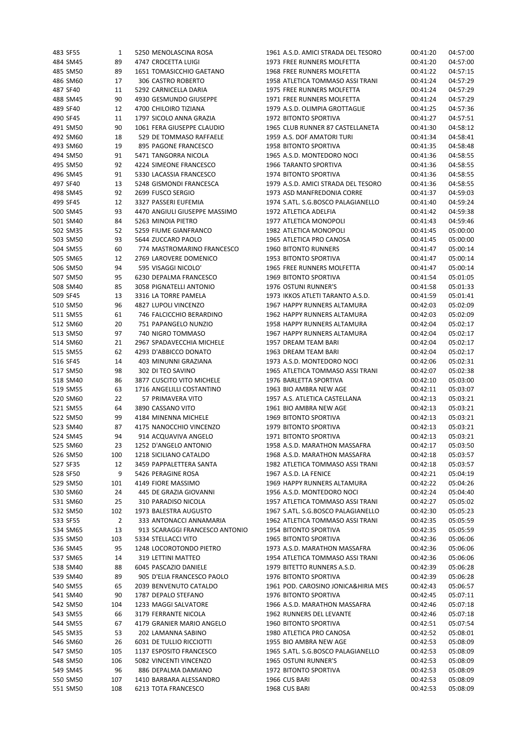| 483 SF55             | 1        | 5250 MENOLASCINA ROSA                          | 1961 A.S.D. AMICI STRADA DEL TESORO                 | 00:41:20             | 04:57:00             |
|----------------------|----------|------------------------------------------------|-----------------------------------------------------|----------------------|----------------------|
| 484 SM45             | 89       | 4747 CROCETTA LUIGI                            | 1973 FREE RUNNERS MOLFETTA                          | 00:41:20             | 04:57:00             |
| 485 SM50             | 89       | 1651 TOMASICCHIO GAETANO                       | 1968 FREE RUNNERS MOLFETTA                          | 00:41:22             | 04:57:15             |
| 486 SM60             | 17       | 306 CASTRO ROBERTO                             | 1958 ATLETICA TOMMASO ASSI TRANI                    | 00:41:24             | 04:57:29             |
| 487 SF40             | 11       | 5292 CARNICELLA DARIA                          | 1975 FREE RUNNERS MOLFETTA                          | 00:41:24             | 04:57:29             |
| 488 SM45             | 90       | 4930 GESMUNDO GIUSEPPE                         | 1971 FREE RUNNERS MOLFETTA                          | 00:41:24             | 04:57:29             |
| 489 SF40             | 12       | 4700 CHILOIRO TIZIANA                          | 1979 A.S.D. OLIMPIA GROTTAGLIE                      | 00:41:25             | 04:57:36             |
| 490 SF45             | 11       | 1797 SICOLO ANNA GRAZIA                        | 1972 BITONTO SPORTIVA                               | 00:41:27             | 04:57:51             |
| 491 SM50             | 90       | 1061 FERA GIUSEPPE CLAUDIO                     | 1965 CLUB RUNNER 87 CASTELLANETA                    | 00:41:30             | 04:58:12             |
| 492 SM60             | 18       | 529 DE TOMMASO RAFFAELE                        | 1959 A.S. DOF AMATORI TURI                          | 00:41:34             | 04:58:41             |
| 493 SM60             | 19       | 895 PAGONE FRANCESCO                           | 1958 BITONTO SPORTIVA                               | 00:41:35             | 04:58:48             |
| 494 SM50             | 91       | 5471 TANGORRA NICOLA                           | 1965 A.S.D. MONTEDORO NOCI                          | 00:41:36             | 04:58:55             |
| 495 SM50             | 92       | 4224 SIMEONE FRANCESCO                         | 1966 TARANTO SPORTIVA                               | 00:41:36             | 04:58:55             |
| 496 SM45             | 91       | 5330 LACASSIA FRANCESCO                        | 1974 BITONTO SPORTIVA                               | 00:41:36             | 04:58:55             |
| 497 SF40             | 13       | 5248 GISMONDI FRANCESCA                        | 1979 A.S.D. AMICI STRADA DEL TESORO                 | 00:41:36             | 04:58:55             |
| 498 SM45             | 92       | 2699 FUSCO SERGIO                              | 1973 ASD MANFREDONIA CORRE                          | 00:41:37             | 04:59:03             |
| 499 SF45             | 12       | 3327 PASSERI EUFEMIA                           | 1974 S.ATL. S.G.BOSCO PALAGIANELLO                  | 00:41:40             | 04:59:24             |
| 500 SM45             | 93       | 4470 ANGIULI GIUSEPPE MASSIMO                  | 1972 ATLETICA ADELFIA                               | 00:41:42             | 04:59:38             |
| 501 SM40             | 84       | 5263 MINOIA PIETRO                             | 1977 ATLETICA MONOPOLI                              | 00:41:43             | 04:59:46             |
| 502 SM35             | 52       | 5259 FIUME GIANFRANCO                          | 1982 ATLETICA MONOPOLI                              | 00:41:45             | 05:00:00             |
| 503 SM50             | 93       | 5644 ZUCCARO PAOLO                             | 1965 ATLETICA PRO CANOSA                            | 00:41:45             | 05:00:00             |
| 504 SM55             | 60       | 774 MASTROMARINO FRANCESCO                     | <b>1960 BITONTO RUNNERS</b>                         | 00:41:47             | 05:00:14             |
| 505 SM65             | 12       | 2769 LAROVERE DOMENICO                         | 1953 BITONTO SPORTIVA                               | 00:41:47             | 05:00:14             |
| 506 SM50             | 94       | 595 VISAGGI NICOLO'                            | 1965 FREE RUNNERS MOLFETTA                          | 00:41:47             | 05:00:14             |
| 507 SM50             | 95       | 6230 DEPALMA FRANCESCO                         | 1969 BITONTO SPORTIVA                               | 00:41:54             | 05:01:05             |
| 508 SM40             | 85       | 3058 PIGNATELLI ANTONIO                        | 1976 OSTUNI RUNNER'S                                | 00:41:58             | 05:01:33             |
| 509 SF45             | 13       | 3316 LA TORRE PAMELA                           | 1973 IKKOS ATLETI TARANTO A.S.D.                    | 00:41:59             | 05:01:41             |
| 510 SM50             | 96       | 4827 LUPOLI VINCENZO                           | 1967 HAPPY RUNNERS ALTAMURA                         | 00:42:03             | 05:02:09             |
| 511 SM55             | 61       | 746 FALCICCHIO BERARDINO                       | 1962 HAPPY RUNNERS ALTAMURA                         | 00:42:03             | 05:02:09             |
| 512 SM60<br>513 SM50 | 20<br>97 | 751 PAPANGELO NUNZIO                           | 1958 HAPPY RUNNERS ALTAMURA                         | 00:42:04             | 05:02:17<br>05:02:17 |
| 514 SM60             | 21       | 740 NIGRO TOMMASO<br>2967 SPADAVECCHIA MICHELE | 1967 HAPPY RUNNERS ALTAMURA<br>1957 DREAM TEAM BARI | 00:42:04<br>00:42:04 | 05:02:17             |
| 515 SM55             | 62       | 4293 D'ABBICCO DONATO                          | 1963 DREAM TEAM BARI                                | 00:42:04             | 05:02:17             |
| 516 SF45             | 14       | 403 MINUNNI GRAZIANA                           | 1973 A.S.D. MONTEDORO NOCI                          | 00:42:06             | 05:02:31             |
| 517 SM50             | 98       | 302 DI TEO SAVINO                              | 1965 ATLETICA TOMMASO ASSI TRANI                    | 00:42:07             | 05:02:38             |
| 518 SM40             | 86       | 3877 CUSCITO VITO MICHELE                      | 1976 BARLETTA SPORTIVA                              | 00:42:10             | 05:03:00             |
| 519 SM55             | 63       | 1716 ANGELILLI COSTANTINO                      | 1963 BIO AMBRA NEW AGE                              | 00:42:11             | 05:03:07             |
| 520 SM60             | 22       | 57 PRIMAVERA VITO                              | 1957 A.S. ATLETICA CASTELLANA                       | 00:42:13             | 05:03:21             |
| 521 SM55             | 64       | 3890 CASSANO VITO                              | 1961 BIO AMBRA NEW AGE                              | 00:42:13             | 05:03:21             |
| 522 SM50             | 99       | 4184 MINENNA MICHELE                           | 1969 BITONTO SPORTIVA                               | 00:42:13             | 05:03:21             |
| 523 SM40             | 87       | 4175 NANOCCHIO VINCENZO                        | 1979 BITONTO SPORTIVA                               | 00:42:13             | 05:03:21             |
| 524 SM45             | 94       | 914 ACQUAVIVA ANGELO                           | 1971 BITONTO SPORTIVA                               | 00:42:13             | 05:03:21             |
| 525 SM60             | 23       | 1252 D'ANGELO ANTONIO                          | 1958 A.S.D. MARATHON MASSAFRA                       | 00:42:17             | 05:03:50             |
| 526 SM50             | 100      | 1218 SICILIANO CATALDO                         | 1968 A.S.D. MARATHON MASSAFRA                       | 00:42:18             | 05:03:57             |
| 527 SF35             | 12       | 3459 PAPPALETTERA SANTA                        | 1982 ATLETICA TOMMASO ASSI TRANI                    | 00:42:18             | 05:03:57             |
| 528 SF50             | 9        | 5426 PERAGINE ROSA                             | 1967 A.S.D. LA FENICE                               | 00:42:21             | 05:04:19             |
| 529 SM50             | 101      | 4149 FIORE MASSIMO                             | 1969 HAPPY RUNNERS ALTAMURA                         | 00:42:22             | 05:04:26             |
| 530 SM60             | 24       | 445 DE GRAZIA GIOVANNI                         | 1956 A.S.D. MONTEDORO NOCI                          | 00:42:24             | 05:04:40             |
| 531 SM60             | 25       | 310 PARADISO NICOLA                            | 1957 ATLETICA TOMMASO ASSI TRANI                    | 00:42:27             | 05:05:02             |
| 532 SM50             | 102      | 1973 BALESTRA AUGUSTO                          | 1967 S.ATL. S.G.BOSCO PALAGIANELLO                  | 00:42:30             | 05:05:23             |
| 533 SF55             | 2        | 333 ANTONACCI ANNAMARIA                        | 1962 ATLETICA TOMMASO ASSI TRANI                    | 00:42:35             | 05:05:59             |
| 534 SM65             | 13       | 913 SCARAGGI FRANCESCO ANTONIO                 | 1954 BITONTO SPORTIVA                               | 00:42:35             | 05:05:59             |
| 535 SM50             | 103      | 5334 STELLACCI VITO                            | 1965 BITONTO SPORTIVA                               | 00:42:36             | 05:06:06             |
| 536 SM45             | 95       | 1248 LOCOROTONDO PIETRO                        | 1973 A.S.D. MARATHON MASSAFRA                       | 00:42:36             | 05:06:06             |
| 537 SM65             | 14       | 319 LETTINI MATTEO                             | 1954 ATLETICA TOMMASO ASSI TRANI                    | 00:42:36             | 05:06:06             |
| 538 SM40             | 88       | 6045 PASCAZIO DANIELE                          | 1979 BITETTO RUNNERS A.S.D.                         | 00:42:39             | 05:06:28             |
| 539 SM40             | 89       | 905 D'ELIA FRANCESCO PAOLO                     | 1976 BITONTO SPORTIVA                               | 00:42:39             | 05:06:28             |
| 540 SM55             | 65       | 2039 BENVENUTO CATALDO                         | 1961 POD. CAROSINO JONICA&HIRIA MES                 | 00:42:43             | 05:06:57             |
| 541 SM40             | 90       | 1787 DEPALO STEFANO                            | 1976 BITONTO SPORTIVA                               | 00:42:45             | 05:07:11             |
| 542 SM50             | 104      | 1233 MAGGI SALVATORE                           | 1966 A.S.D. MARATHON MASSAFRA                       | 00:42:46             | 05:07:18             |
| 543 SM55             | 66       | 3179 FERRANTE NICOLA                           | 1962 RUNNERS DEL LEVANTE                            | 00:42:46             | 05:07:18             |
| 544 SM55             | 67       | 4179 GRANIER MARIO ANGELO                      | 1960 BITONTO SPORTIVA                               | 00:42:51             | 05:07:54             |
| 545 SM35             | 53       | 202 LAMANNA SABINO                             | 1980 ATLETICA PRO CANOSA                            | 00:42:52             | 05:08:01             |
| 546 SM60             | 26       | 6031 DE TULLIO RICCIOTTI                       | 1955 BIO AMBRA NEW AGE                              | 00:42:53             | 05:08:09             |
| 547 SM50             | 105      | 1137 ESPOSITO FRANCESCO                        | 1965 S.ATL. S.G.BOSCO PALAGIANELLO                  | 00:42:53             | 05:08:09             |
| 548 SM50             | 106      | 5082 VINCENTI VINCENZO                         | 1965 OSTUNI RUNNER'S                                | 00:42:53             | 05:08:09             |
| 549 SM45             | 96       | 886 DEPALMA DAMIANO                            | 1972 BITONTO SPORTIVA                               | 00:42:53             | 05:08:09             |
| 550 SM50             | 107      | 1410 BARBARA ALESSANDRO                        | 1966 CUS BARI                                       | 00:42:53             | 05:08:09             |
| 551 SM50             | 108      | 6213 TOTA FRANCESCO                            | 1968 CUS BARI                                       | 00:42:53             | 05:08:09             |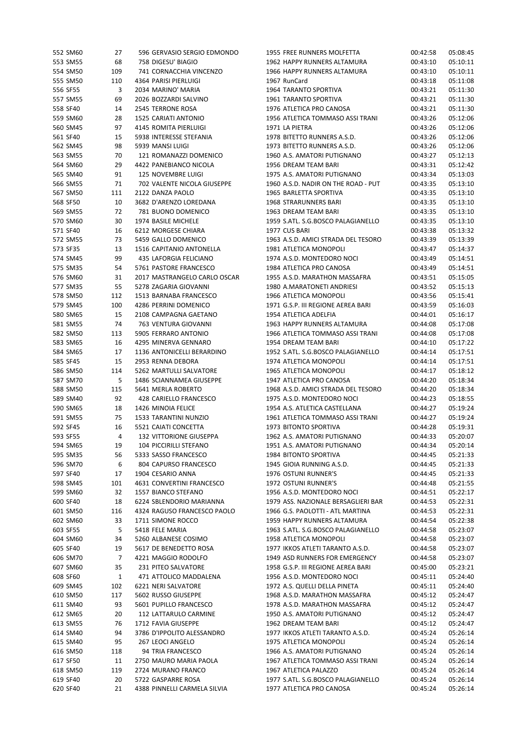| 552 SM60 | 27  | 596 GERVASIO SERGIO EDMONDO    | 1955 FREE RUNNERS MOLFETTA          | 00:42:58 | 05:08:45 |
|----------|-----|--------------------------------|-------------------------------------|----------|----------|
| 553 SM55 | 68  | 758 DIGESU' BIAGIO             | 1962 HAPPY RUNNERS ALTAMURA         | 00:43:10 | 05:10:11 |
| 554 SM50 | 109 | 741 CORNACCHIA VINCENZO        | 1966 HAPPY RUNNERS ALTAMURA         | 00:43:10 | 05:10:11 |
| 555 SM50 | 110 | 4364 PARISI PIERLUIGI          | 1967 RunCard                        | 00:43:18 | 05:11:08 |
| 556 SF55 | 3   | 2034 MARINO' MARIA             | 1964 TARANTO SPORTIVA               | 00:43:21 | 05:11:30 |
| 557 SM55 | 69  | 2026 BOZZARDI SALVINO          | 1961 TARANTO SPORTIVA               | 00:43:21 | 05:11:30 |
| 558 SF40 | 14  | 2545 TERRONE ROSA              | 1976 ATLETICA PRO CANOSA            | 00:43:21 | 05:11:30 |
| 559 SM60 | 28  | 1525 CARIATI ANTONIO           | 1956 ATLETICA TOMMASO ASSI TRANI    | 00:43:26 | 05:12:06 |
| 560 SM45 | 97  | 4145 ROMITA PIERLUIGI          | 1971 LA PIETRA                      | 00:43:26 | 05:12:06 |
| 561 SF40 | 15  | 5938 INTERESSE STEFANIA        | 1978 BITETTO RUNNERS A.S.D.         | 00:43:26 | 05:12:06 |
| 562 SM45 | 98  | 5939 MANSI LUIGI               | 1973 BITETTO RUNNERS A.S.D.         | 00:43:26 | 05:12:06 |
| 563 SM55 | 70  | 121 ROMANAZZI DOMENICO         | 1960 A.S. AMATORI PUTIGNANO         | 00:43:27 | 05:12:13 |
| 564 SM60 | 29  | 4422 PANEBIANCO NICOLA         | 1956 DREAM TEAM BARI                | 00:43:31 | 05:12:42 |
| 565 SM40 | 91  | 125 NOVEMBRE LUIGI             | 1975 A.S. AMATORI PUTIGNANO         | 00:43:34 | 05:13:03 |
| 566 SM55 | 71  | 702 VALENTE NICOLA GIUSEPPE    | 1960 A.S.D. NADIR ON THE ROAD - PUT | 00:43:35 | 05:13:10 |
| 567 SM50 | 111 | 2122 DANZA PAOLO               | 1965 BARLETTA SPORTIVA              | 00:43:35 | 05:13:10 |
| 568 SF50 | 10  | 3682 D'ARENZO LOREDANA         | 1968 STRARUNNERS BARI               | 00:43:35 | 05:13:10 |
| 569 SM55 | 72  | 781 BUONO DOMENICO             | 1963 DREAM TEAM BARI                | 00:43:35 | 05:13:10 |
| 570 SM60 | 30  | 1974 BASILE MICHELE            | 1959 S.ATL. S.G.BOSCO PALAGIANELLO  | 00:43:35 | 05:13:10 |
| 571 SF40 | 16  | 6212 MORGESE CHIARA            | 1977 CUS BARI                       | 00:43:38 | 05:13:32 |
| 572 SM55 | 73  |                                | 1963 A.S.D. AMICI STRADA DEL TESORO |          | 05:13:39 |
|          |     | 5459 GALLO DOMENICO            |                                     | 00:43:39 |          |
| 573 SF35 | 13  | 1516 CAPITANIO ANTONELLA       | 1981 ATLETICA MONOPOLI              | 00:43:47 | 05:14:37 |
| 574 SM45 | 99  | 435 LAFORGIA FELICIANO         | 1974 A.S.D. MONTEDORO NOCI          | 00:43:49 | 05:14:51 |
| 575 SM35 | 54  | 5761 PASTORE FRANCESCO         | 1984 ATLETICA PRO CANOSA            | 00:43:49 | 05:14:51 |
| 576 SM60 | 31  | 2017 MASTRANGELO CARLO OSCAR   | 1955 A.S.D. MARATHON MASSAFRA       | 00:43:51 | 05:15:05 |
| 577 SM35 | 55  | 5278 ZAGARIA GIOVANNI          | 1980 A.MARATONETI ANDRIESI          | 00:43:52 | 05:15:13 |
| 578 SM50 | 112 | 1513 BARNABA FRANCESCO         | 1966 ATLETICA MONOPOLI              | 00:43:56 | 05:15:41 |
| 579 SM45 | 100 | 4286 PERRINI DOMENICO          | 1971 G.S.P. III REGIONE AEREA BARI  | 00:43:59 | 05:16:03 |
| 580 SM65 | 15  | 2108 CAMPAGNA GAETANO          | 1954 ATLETICA ADELFIA               | 00:44:01 | 05:16:17 |
| 581 SM55 | 74  | 763 VENTURA GIOVANNI           | 1963 HAPPY RUNNERS ALTAMURA         | 00:44:08 | 05:17:08 |
| 582 SM50 | 113 | 5905 FERRARO ANTONIO           | 1966 ATLETICA TOMMASO ASSI TRANI    | 00:44:08 | 05:17:08 |
| 583 SM65 | 16  | 4295 MINERVA GENNARO           | 1954 DREAM TEAM BARI                | 00:44:10 | 05:17:22 |
| 584 SM65 | 17  | 1136 ANTONICELLI BERARDINO     | 1952 S.ATL. S.G.BOSCO PALAGIANELLO  | 00:44:14 | 05:17:51 |
| 585 SF45 | 15  | 2953 RENNA DEBORA              | 1974 ATLETICA MONOPOLI              | 00:44:14 | 05:17:51 |
| 586 SM50 | 114 | 5262 MARTULLI SALVATORE        | 1965 ATLETICA MONOPOLI              | 00:44:17 | 05:18:12 |
| 587 SM70 | 5   | 1486 SCIANNAMEA GIUSEPPE       | 1947 ATLETICA PRO CANOSA            | 00:44:20 | 05:18:34 |
| 588 SM50 | 115 | 5641 MERLA ROBERTO             | 1968 A.S.D. AMICI STRADA DEL TESORO | 00:44:20 | 05:18:34 |
| 589 SM40 | 92  | 428 CARIELLO FRANCESCO         | 1975 A.S.D. MONTEDORO NOCI          | 00:44:23 | 05:18:55 |
| 590 SM65 | 18  | 1426 MINOIA FELICE             | 1954 A.S. ATLETICA CASTELLANA       | 00:44:27 | 05:19:24 |
| 591 SM55 | 75  | 1533 TARANTINI NUNZIO          | 1961 ATLETICA TOMMASO ASSI TRANI    | 00:44:27 | 05:19:24 |
| 592 SF45 | 16  | 5521 CAIATI CONCETTA           | 1973 BITONTO SPORTIVA               | 00:44:28 | 05:19:31 |
| 593 SF55 | 4   | <b>132 VITTORIONE GIUSEPPA</b> | 1962 A.S. AMATORI PUTIGNANO         | 00:44:33 | 05:20:07 |
| 594 SM65 | 19  | 104 PICCIRILLI STEFANO         | 1951 A.S. AMATORI PUTIGNANO         | 00:44:34 | 05:20:14 |
| 595 SM35 | 56  | 5333 SASSO FRANCESCO           | 1984 BITONTO SPORTIVA               | 00:44:45 | 05:21:33 |
| 596 SM70 | 6   | 804 CAPURSO FRANCESCO          | 1945 GIOIA RUNNING A.S.D.           | 00:44:45 | 05:21:33 |
| 597 SF40 | 17  | 1904 CESARIO ANNA              | 1976 OSTUNI RUNNER'S                | 00:44:45 | 05:21:33 |
| 598 SM45 | 101 | 4631 CONVERTINI FRANCESCO      | 1972 OSTUNI RUNNER'S                | 00:44:48 | 05:21:55 |
| 599 SM60 | 32  | 1557 BIANCO STEFANO            | 1956 A.S.D. MONTEDORO NOCI          | 00:44:51 | 05:22:17 |
| 600 SF40 | 18  | 6224 SBLENDORIO MARIANNA       | 1979 ASS. NAZIONALE BERSAGLIERI BAR | 00:44:53 | 05:22:31 |
| 601 SM50 | 116 | 4324 RAGUSO FRANCESCO PAOLO    | 1966 G.S. PAOLOTTI - ATL MARTINA    | 00:44:53 | 05:22:31 |
| 602 SM60 | 33  | 1711 SIMONE ROCCO              | 1959 HAPPY RUNNERS ALTAMURA         | 00:44:54 | 05:22:38 |
| 603 SF55 | 5   | 5418 FELE MARIA                | 1963 S.ATL. S.G.BOSCO PALAGIANELLO  | 00:44:58 | 05:23:07 |
| 604 SM60 | 34  | 5260 ALBANESE COSIMO           | 1958 ATLETICA MONOPOLI              | 00:44:58 | 05:23:07 |
| 605 SF40 | 19  | 5617 DE BENEDETTO ROSA         | 1977 IKKOS ATLETI TARANTO A.S.D.    | 00:44:58 | 05:23:07 |
| 606 SM70 | 7   | 4221 MAGGIO RODOLFO            | 1949 ASD RUNNERS FOR EMERGENCY      | 00:44:58 | 05:23:07 |
| 607 SM60 | 35  | 231 PITEO SALVATORE            | 1958 G.S.P. III REGIONE AEREA BARI  | 00:45:00 | 05:23:21 |
| 608 SF60 | 1   | 471 ATTOLICO MADDALENA         | 1956 A.S.D. MONTEDORO NOCI          | 00:45:11 | 05:24:40 |
| 609 SM45 | 102 | 6221 NERI SALVATORE            | 1972 A.S. QUELLI DELLA PINETA       | 00:45:11 | 05:24:40 |
| 610 SM50 | 117 | 5602 RUSSO GIUSEPPE            | 1968 A.S.D. MARATHON MASSAFRA       | 00:45:12 | 05:24:47 |
| 611 SM40 | 93  | 5601 PUPILLO FRANCESCO         | 1978 A.S.D. MARATHON MASSAFRA       | 00:45:12 | 05:24:47 |
| 612 SM65 | 20  | 112 LATTARULO CARMINE          | 1950 A.S. AMATORI PUTIGNANO         | 00:45:12 | 05:24:47 |
| 613 SM55 | 76  | 1712 FAVIA GIUSEPPE            | 1962 DREAM TEAM BARI                | 00:45:12 | 05:24:47 |
| 614 SM40 | 94  | 3786 D'IPPOLITO ALESSANDRO     | 1977 IKKOS ATLETI TARANTO A.S.D.    | 00:45:24 | 05:26:14 |
| 615 SM40 | 95  | 267 LEOCI ANGELO               | 1975 ATLETICA MONOPOLI              | 00:45:24 | 05:26:14 |
| 616 SM50 | 118 | 94 TRIA FRANCESCO              | 1966 A.S. AMATORI PUTIGNANO         | 00:45:24 | 05:26:14 |
| 617 SF50 | 11  | 2750 MAURO MARIA PAOLA         | 1967 ATLETICA TOMMASO ASSI TRANI    | 00:45:24 | 05:26:14 |
| 618 SM50 | 119 | 2724 MURANO FRANCO             | 1967 ATLETICA PALAZZO               | 00:45:24 | 05:26:14 |
| 619 SF40 | 20  | 5722 GASPARRE ROSA             | 1977 S.ATL. S.G.BOSCO PALAGIANELLO  | 00:45:24 | 05:26:14 |
| 620 SF40 | 21  | 4388 PINNELLI CARMELA SILVIA   | 1977 ATLETICA PRO CANOSA            | 00:45:24 | 05:26:14 |
|          |     |                                |                                     |          |          |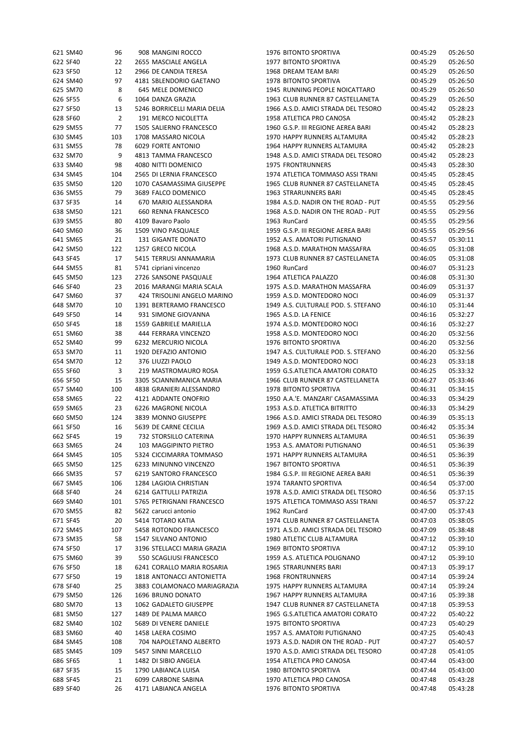| 621 SM40 | 96             | 908 MANGINI ROCCO           | 1976 BITONTO SPORTIVA               | 00:45:29 | 05:26:50 |
|----------|----------------|-----------------------------|-------------------------------------|----------|----------|
| 622 SF40 | 22             | 2655 MASCIALE ANGELA        | 1977 BITONTO SPORTIVA               | 00:45:29 | 05:26:50 |
| 623 SF50 | 12             | 2966 DE CANDIA TERESA       | 1968 DREAM TEAM BARI                | 00:45:29 | 05:26:50 |
| 624 SM40 | 97             | 4181 SBLENDORIO GAETANO     | 1978 BITONTO SPORTIVA               | 00:45:29 | 05:26:50 |
| 625 SM70 | 8              | 645 MELE DOMENICO           | 1945 RUNNING PEOPLE NOICATTARO      | 00:45:29 | 05:26:50 |
| 626 SF55 | 6              | 1064 DANZA GRAZIA           | 1963 CLUB RUNNER 87 CASTELLANETA    | 00:45:29 | 05:26:50 |
| 627 SF50 | 13             | 5246 BORRICELLI MARIA DELIA | 1966 A.S.D. AMICI STRADA DEL TESORO | 00:45:42 | 05:28:23 |
| 628 SF60 | $\overline{2}$ | 191 MERCO NICOLETTA         | 1958 ATLETICA PRO CANOSA            | 00:45:42 | 05:28:23 |
| 629 SM55 | 77             | 1505 SALIERNO FRANCESCO     | 1960 G.S.P. III REGIONE AEREA BARI  | 00:45:42 | 05:28:23 |
| 630 SM45 | 103            | 1708 MASSARO NICOLA         | 1970 HAPPY RUNNERS ALTAMURA         | 00:45:42 | 05:28:23 |
| 631 SM55 | 78             | 6029 FORTE ANTONIO          | 1964 HAPPY RUNNERS ALTAMURA         | 00:45:42 | 05:28:23 |
| 632 SM70 | 9              | 4813 TAMMA FRANCESCO        | 1948 A.S.D. AMICI STRADA DEL TESORO | 00:45:42 | 05:28:23 |
| 633 SM40 | 98             | 4080 NITTI DOMENICO         | <b>1975 FRONTRUNNERS</b>            | 00:45:43 | 05:28:30 |
| 634 SM45 | 104            | 2565 DI LERNIA FRANCESCO    | 1974 ATLETICA TOMMASO ASSI TRANI    | 00:45:45 | 05:28:45 |
| 635 SM50 | 120            | 1070 CASAMASSIMA GIUSEPPE   | 1965 CLUB RUNNER 87 CASTELLANETA    | 00:45:45 | 05:28:45 |
| 636 SM55 | 79             | 3689 FALCO DOMENICO         | 1963 STRARUNNERS BARI               | 00:45:45 | 05:28:45 |
| 637 SF35 | 14             | 670 MARIO ALESSANDRA        | 1984 A.S.D. NADIR ON THE ROAD - PUT | 00:45:55 | 05:29:56 |
| 638 SM50 | 121            | 660 RENNA FRANCESCO         | 1968 A.S.D. NADIR ON THE ROAD - PUT | 00:45:55 | 05:29:56 |
| 639 SM55 | 80             | 4109 Bavaro Paolo           | 1963 RunCard                        | 00:45:55 | 05:29:56 |
|          | 36             | 1509 VINO PASQUALE          | 1959 G.S.P. III REGIONE AEREA BARI  |          | 05:29:56 |
| 640 SM60 |                |                             |                                     | 00:45:55 |          |
| 641 SM65 | 21             | 131 GIGANTE DONATO          | 1952 A.S. AMATORI PUTIGNANO         | 00:45:57 | 05:30:11 |
| 642 SM50 | 122            | 1257 GRECO NICOLA           | 1968 A.S.D. MARATHON MASSAFRA       | 00:46:05 | 05:31:08 |
| 643 SF45 | 17             | 5415 TERRUSI ANNAMARIA      | 1973 CLUB RUNNER 87 CASTELLANETA    | 00:46:05 | 05:31:08 |
| 644 SM55 | 81             | 5741 cipriani vincenzo      | 1960 RunCard                        | 00:46:07 | 05:31:23 |
| 645 SM50 | 123            | 2726 SANSONE PASQUALE       | 1964 ATLETICA PALAZZO               | 00:46:08 | 05:31:30 |
| 646 SF40 | 23             | 2016 MARANGI MARIA SCALA    | 1975 A.S.D. MARATHON MASSAFRA       | 00:46:09 | 05:31:37 |
| 647 SM60 | 37             | 424 TRISOLINI ANGELO MARINO | 1959 A.S.D. MONTEDORO NOCI          | 00:46:09 | 05:31:37 |
| 648 SM70 | 10             | 1391 BERTERAMO FRANCESCO    | 1949 A.S. CULTURALE POD. S. STEFANO | 00:46:10 | 05:31:44 |
| 649 SF50 | 14             | 931 SIMONE GIOVANNA         | 1965 A.S.D. LA FENICE               | 00:46:16 | 05:32:27 |
| 650 SF45 | 18             | 1559 GABRIELE MARIELLA      | 1974 A.S.D. MONTEDORO NOCI          | 00:46:16 | 05:32:27 |
| 651 SM60 | 38             | 444 FERRARA VINCENZO        | 1958 A.S.D. MONTEDORO NOCI          | 00:46:20 | 05:32:56 |
| 652 SM40 | 99             | 6232 MERCURIO NICOLA        | 1976 BITONTO SPORTIVA               | 00:46:20 | 05:32:56 |
| 653 SM70 | 11             | 1920 DEFAZIO ANTONIO        | 1947 A.S. CULTURALE POD. S. STEFANO | 00:46:20 | 05:32:56 |
| 654 SM70 | 12             | 376 LIUZZI PAOLO            | 1949 A.S.D. MONTEDORO NOCI          | 00:46:23 | 05:33:18 |
| 655 SF60 | 3              | 219 MASTROMAURO ROSA        | 1959 G.S.ATLETICA AMATORI CORATO    | 00:46:25 | 05:33:32 |
| 656 SF50 | 15             | 3305 SCIANNIMANICA MARIA    | 1966 CLUB RUNNER 87 CASTELLANETA    | 00:46:27 | 05:33:46 |
| 657 SM40 | 100            | 4838 GRANIERI ALESSANDRO    | 1978 BITONTO SPORTIVA               | 00:46:31 | 05:34:15 |
| 658 SM65 | 22             | 4121 ADDANTE ONOFRIO        | 1950 A.A.'E. MANZARI' CASAMASSIMA   | 00:46:33 | 05:34:29 |
| 659 SM65 | 23             | 6226 MAGRONE NICOLA         | 1953 A.S.D. ATLETICA BITRITTO       | 00:46:33 | 05:34:29 |
| 660 SM50 | 124            | 3839 MONNO GIUSEPPE         | 1966 A.S.D. AMICI STRADA DEL TESORO | 00:46:39 | 05:35:13 |
| 661 SF50 | 16             | 5639 DE CARNE CECILIA       | 1969 A.S.D. AMICI STRADA DEL TESORO | 00:46:42 | 05:35:34 |
| 662 SF45 | 19             | 732 STORSILLO CATERINA      | 1970 HAPPY RUNNERS ALTAMURA         | 00:46:51 | 05:36:39 |
| 663 SM65 | 24             | 103 MAGGIPINTO PIETRO       | 1953 A.S. AMATORI PUTIGNANO         | 00:46:51 | 05:36:39 |
| 664 SM45 | 105            | 5324 CICCIMARRA TOMMASO     | 1971 HAPPY RUNNERS ALTAMURA         | 00:46:51 | 05:36:39 |
| 665 SM50 | 125            | 6233 MINUNNO VINCENZO       | 1967 BITONTO SPORTIVA               | 00:46:51 | 05:36:39 |
| 666 SM35 | 57             | 6219 SANTORO FRANCESCO      | 1984 G.S.P. III REGIONE AEREA BARI  | 00:46:51 | 05:36:39 |
| 667 SM45 | 106            | 1284 LAGIOIA CHRISTIAN      | 1974 TARANTO SPORTIVA               | 00:46:54 | 05:37:00 |
| 668 SF40 | 24             | 6214 GATTULLI PATRIZIA      | 1978 A.S.D. AMICI STRADA DEL TESORO | 00:46:56 | 05:37:15 |
| 669 SM40 | 101            | 5765 PETRIGNANI FRANCESCO   | 1975 ATLETICA TOMMASO ASSI TRANI    | 00:46:57 | 05:37:22 |
| 670 SM55 | 82             | 5622 carucci antonio        | 1962 RunCard                        | 00:47:00 | 05:37:43 |
| 671 SF45 | 20             | 5414 TOTARO KATIA           | 1974 CLUB RUNNER 87 CASTELLANETA    | 00:47:03 | 05:38:05 |
| 672 SM45 | 107            | 5458 ROTONDO FRANCESCO      | 1971 A.S.D. AMICI STRADA DEL TESORO | 00:47:09 | 05:38:48 |
| 673 SM35 | 58             | 1547 SILVANO ANTONIO        | 1980 ATLETIC CLUB ALTAMURA          | 00:47:12 | 05:39:10 |
| 674 SF50 | 17             | 3196 STELLACCI MARIA GRAZIA | 1969 BITONTO SPORTIVA               | 00:47:12 | 05:39:10 |
| 675 SM60 | 39             | 550 SCAGLIUSI FRANCESCO     | 1959 A.S. ATLETICA POLIGNANO        | 00:47:12 | 05:39:10 |
| 676 SF50 | 18             | 6241 CORALLO MARIA ROSARIA  | 1965 STRARUNNERS BARI               | 00:47:13 | 05:39:17 |
| 677 SF50 | 19             | 1818 ANTONACCI ANTONIETTA   | <b>1968 FRONTRUNNERS</b>            | 00:47:14 | 05:39:24 |
| 678 SF40 | 25             | 3883 COLAMONACO MARIAGRAZIA | 1975 HAPPY RUNNERS ALTAMURA         | 00:47:14 | 05:39:24 |
| 679 SM50 | 126            | 1696 BRUNO DONATO           | 1967 HAPPY RUNNERS ALTAMURA         | 00:47:16 | 05:39:38 |
| 680 SM70 | 13             | 1062 GADALETO GIUSEPPE      | 1947 CLUB RUNNER 87 CASTELLANETA    | 00:47:18 | 05:39:53 |
| 681 SM50 | 127            | 1489 DE PALMA MARCO         | 1965 G.S.ATLETICA AMATORI CORATO    | 00:47:22 | 05:40:22 |
| 682 SM40 | 102            | 5689 DI VENERE DANIELE      | 1975 BITONTO SPORTIVA               | 00:47:23 | 05:40:29 |
| 683 SM60 | 40             | 1458 LAERA COSIMO           | 1957 A.S. AMATORI PUTIGNANO         | 00:47:25 | 05:40:43 |
| 684 SM45 | 108            | 704 NAPOLETANO ALBERTO      | 1973 A.S.D. NADIR ON THE ROAD - PUT | 00:47:27 | 05:40:57 |
|          |                |                             |                                     |          |          |
| 685 SM45 | 109            | 5457 SINNI MARCELLO         | 1970 A.S.D. AMICI STRADA DEL TESORO | 00:47:28 | 05:41:05 |
| 686 SF65 | 1              | 1482 DI SIBIO ANGELA        | 1954 ATLETICA PRO CANOSA            | 00:47:44 | 05:43:00 |
| 687 SF35 | 15             | 1790 LABIANCA LUISA         | 1980 BITONTO SPORTIVA               | 00:47:44 | 05:43:00 |
| 688 SF45 | 21             | 6099 CARBONE SABINA         | 1970 ATLETICA PRO CANOSA            | 00:47:48 | 05:43:28 |
| 689 SF40 | 26             | 4171 LABIANCA ANGELA        | 1976 BITONTO SPORTIVA               | 00:47:48 | 05:43:28 |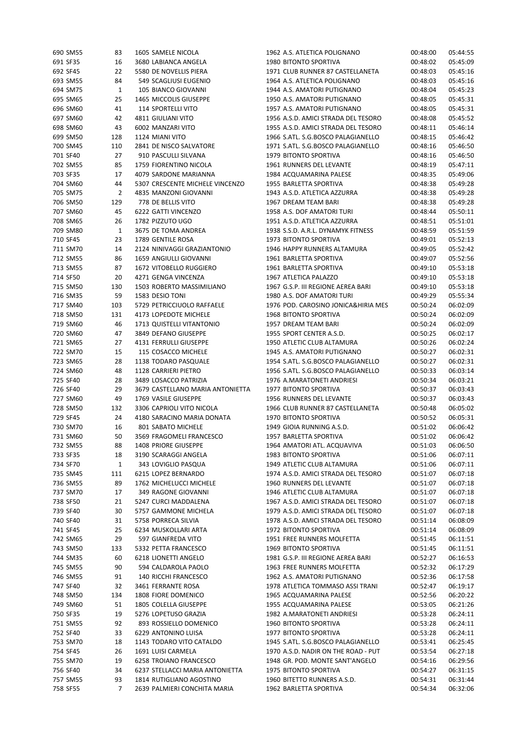| 690 SM55 | 83             | 1605 SAMELE NICOLA               | 1962 A.S. ATLETICA POLIGNANO                              | 00:48:00 | 05:44:55 |
|----------|----------------|----------------------------------|-----------------------------------------------------------|----------|----------|
| 691 SF35 | 16             | 3680 LABIANCA ANGELA             | 1980 BITONTO SPORTIVA                                     | 00:48:02 | 05:45:09 |
| 692 SF45 | 22             | 5580 DE NOVELLIS PIERA           | 1971 CLUB RUNNER 87 CASTELLANETA                          | 00:48:03 | 05:45:16 |
| 693 SM55 | 84             | 549 SCAGLIUSI EUGENIO            | 1964 A.S. ATLETICA POLIGNANO                              | 00:48:03 | 05:45:16 |
| 694 SM75 | 1              | 105 BIANCO GIOVANNI              | 1944 A.S. AMATORI PUTIGNANO                               | 00:48:04 | 05:45:23 |
| 695 SM65 | 25             | 1465 MICCOLIS GIUSEPPE           | 1950 A.S. AMATORI PUTIGNANO                               | 00:48:05 | 05:45:31 |
| 696 SM60 | 41             | 114 SPORTELLI VITO               | 1957 A.S. AMATORI PUTIGNANO                               | 00:48:05 | 05:45:31 |
| 697 SM60 | 42             | 4811 GIULIANI VITO               | 1956 A.S.D. AMICI STRADA DEL TESORO                       | 00:48:08 | 05:45:52 |
| 698 SM60 | 43             | 6002 MANZARI VITO                | 1955 A.S.D. AMICI STRADA DEL TESORO                       | 00:48:11 | 05:46:14 |
| 699 SM50 | 128            | 1124 MIANI VITO                  | 1966 S.ATL. S.G.BOSCO PALAGIANELLO                        | 00:48:15 | 05:46:42 |
| 700 SM45 | 110            | 2841 DE NISCO SALVATORE          | 1971 S.ATL. S.G.BOSCO PALAGIANELLO                        | 00:48:16 | 05:46:50 |
| 701 SF40 | 27             | 910 PASCULLI SILVANA             | 1979 BITONTO SPORTIVA                                     | 00:48:16 | 05:46:50 |
| 702 SM55 | 85             | 1759 FIORENTINO NICOLA           |                                                           |          | 05:47:11 |
|          |                | 4079 SARDONE MARIANNA            | 1961 RUNNERS DEL LEVANTE                                  | 00:48:19 |          |
| 703 SF35 | 17             |                                  | 1984 ACQUAMARINA PALESE                                   | 00:48:35 | 05:49:06 |
| 704 SM60 | 44             | 5307 CRESCENTE MICHELE VINCENZO  | 1955 BARLETTA SPORTIVA                                    | 00:48:38 | 05:49:28 |
| 705 SM75 | $\overline{2}$ | 4835 MANZONI GIOVANNI            | 1943 A.S.D. ATLETICA AZZURRA                              | 00:48:38 | 05:49:28 |
| 706 SM50 | 129            | 778 DE BELLIS VITO               | 1967 DREAM TEAM BARI                                      | 00:48:38 | 05:49:28 |
| 707 SM60 | 45             | 6222 GATTI VINCENZO              | 1958 A.S. DOF AMATORI TURI                                | 00:48:44 | 05:50:11 |
| 708 SM65 | 26             | 1782 PIZZUTO UGO                 | 1951 A.S.D. ATLETICA AZZURRA                              | 00:48:51 | 05:51:01 |
| 709 SM80 | 1              | 3675 DE TOMA ANDREA              | 1938 S.S.D. A.R.L. DYNAMYK FITNESS                        | 00:48:59 | 05:51:59 |
| 710 SF45 | 23             | 1789 GENTILE ROSA                | 1973 BITONTO SPORTIVA                                     | 00:49:01 | 05:52:13 |
| 711 SM70 | 14             | 2124 NINIVAGGI GRAZIANTONIO      | 1946 HAPPY RUNNERS ALTAMURA                               | 00:49:05 | 05:52:42 |
| 712 SM55 | 86             | 1659 ANGIULLI GIOVANNI           | 1961 BARLETTA SPORTIVA                                    | 00:49:07 | 05:52:56 |
| 713 SM55 | 87             | 1672 VITOBELLO RUGGIERO          | 1961 BARLETTA SPORTIVA                                    | 00:49:10 | 05:53:18 |
| 714 SF50 | 20             | 4271 GENGA VINCENZA              | 1967 ATLETICA PALAZZO                                     | 00:49:10 | 05:53:18 |
| 715 SM50 | 130            | 1503 ROBERTO MASSIMILIANO        | 1967 G.S.P. III REGIONE AEREA BARI                        | 00:49:10 | 05:53:18 |
| 716 SM35 | 59             | 1583 DESIO TONI                  | 1980 A.S. DOF AMATORI TURI                                | 00:49:29 | 05:55:34 |
| 717 SM40 | 103            | 5729 PETRICCIUOLO RAFFAELE       | 1976 POD. CAROSINO JONICA&HIRIA MES                       | 00:50:24 | 06:02:09 |
| 718 SM50 | 131            | 4173 LOPEDOTE MICHELE            | 1968 BITONTO SPORTIVA                                     | 00:50:24 | 06:02:09 |
| 719 SM60 | 46             | 1713 QUISTELLI VITANTONIO        | 1957 DREAM TEAM BARI                                      | 00:50:24 | 06:02:09 |
| 720 SM60 | 47             | 3849 DEFANO GIUSEPPE             | 1955 SPORT CENTER A.S.D.                                  | 00:50:25 | 06:02:17 |
| 721 SM65 | 27             | 4131 FERRULLI GIUSEPPE           | 1950 ATLETIC CLUB ALTAMURA                                | 00:50:26 | 06:02:24 |
| 722 SM70 | 15             | 115 COSACCO MICHELE              | 1945 A.S. AMATORI PUTIGNANO                               | 00:50:27 | 06:02:31 |
| 723 SM65 | 28             | 1138 TODARO PASQUALE             | 1954 S.ATL. S.G.BOSCO PALAGIANELLO                        | 00:50:27 | 06:02:31 |
| 724 SM60 | 48             | 1128 CARRIERI PIETRO             | 1956 S.ATL. S.G.BOSCO PALAGIANELLO                        | 00:50:33 | 06:03:14 |
| 725 SF40 | 28             | 3489 LOSACCO PATRIZIA            | 1976 A.MARATONETI ANDRIESI                                | 00:50:34 | 06:03:21 |
| 726 SF40 | 29             | 3679 CASTELLANO MARIA ANTONIETTA | 1977 BITONTO SPORTIVA                                     | 00:50:37 | 06:03:43 |
| 727 SM60 | 49             | 1769 VASILE GIUSEPPE             | 1956 RUNNERS DEL LEVANTE                                  | 00:50:37 | 06:03:43 |
| 728 SM50 |                | 3306 CAPRIOLI VITO NICOLA        |                                                           |          | 06:05:02 |
|          | 132            |                                  | 1966 CLUB RUNNER 87 CASTELLANETA<br>1970 BITONTO SPORTIVA | 00:50:48 |          |
| 729 SF45 | 24             | 4180 SARACINO MARIA DONATA       |                                                           | 00:50:52 | 06:05:31 |
| 730 SM70 | 16             | 801 SABATO MICHELE               | 1949 GIOIA RUNNING A.S.D.                                 | 00:51:02 | 06:06:42 |
| 731 SM60 | 50             | 3569 FRAGOMELI FRANCESCO         | 1957 BARLETTA SPORTIVA                                    | 00:51:02 | 06:06:42 |
| 732 SM55 | 88             | <b>1408 PRIORE GIUSEPPE</b>      | 1964 AMATORI ATL. ACQUAVIVA                               | 00:51:03 | 06:06:50 |
| 733 SF35 | 18             | 3190 SCARAGGI ANGELA             | 1983 BITONTO SPORTIVA                                     | 00:51:06 | 06:07:11 |
| 734 SF70 | $\mathbf{1}$   | 343 LOVIGLIO PASQUA              | 1949 ATLETIC CLUB ALTAMURA                                | 00:51:06 | 06:07:11 |
| 735 SM45 | 111            | 6215 LOPEZ BERNARDO              | 1974 A.S.D. AMICI STRADA DEL TESORO                       | 00:51:07 | 06:07:18 |
| 736 SM55 | 89             | 1762 MICHELUCCI MICHELE          | 1960 RUNNERS DEL LEVANTE                                  | 00:51:07 | 06:07:18 |
| 737 SM70 | 17             | 349 RAGONE GIOVANNI              | 1946 ATLETIC CLUB ALTAMURA                                | 00:51:07 | 06:07:18 |
| 738 SF50 | 21             | 5247 CURCI MADDALENA             | 1967 A.S.D. AMICI STRADA DEL TESORO                       | 00:51:07 | 06:07:18 |
| 739 SF40 | 30             | 5757 GAMMONE MICHELA             | 1979 A.S.D. AMICI STRADA DEL TESORO                       | 00:51:07 | 06:07:18 |
| 740 SF40 | 31             | 5758 PORRECA SILVIA              | 1978 A.S.D. AMICI STRADA DEL TESORO                       | 00:51:14 | 06:08:09 |
| 741 SF45 | 25             | 6234 MUSKOLLARI ARTA             | 1972 BITONTO SPORTIVA                                     | 00:51:14 | 06:08:09 |
| 742 SM65 | 29             | 597 GIANFREDA VITO               | 1951 FREE RUNNERS MOLFETTA                                | 00:51:45 | 06:11:51 |
| 743 SM50 | 133            | 5332 PETTA FRANCESCO             | 1969 BITONTO SPORTIVA                                     | 00:51:45 | 06:11:51 |
| 744 SM35 | 60             | 6218 LIONETTI ANGELO             | 1981 G.S.P. III REGIONE AEREA BARI                        | 00:52:27 | 06:16:53 |
| 745 SM55 | 90             | 594 CALDAROLA PAOLO              | 1963 FREE RUNNERS MOLFETTA                                | 00:52:32 | 06:17:29 |
| 746 SM55 | 91             | 140 RICCHI FRANCESCO             | 1962 A.S. AMATORI PUTIGNANO                               | 00:52:36 | 06:17:58 |
| 747 SF40 | 32             | 3461 FERRANTE ROSA               | 1978 ATLETICA TOMMASO ASSI TRANI                          | 00:52:47 | 06:19:17 |
| 748 SM50 | 134            | 1808 FIORE DOMENICO              | 1965 ACQUAMARINA PALESE                                   | 00:52:56 | 06:20:22 |
| 749 SM60 | 51             | 1805 COLELLA GIUSEPPE            | 1955 ACQUAMARINA PALESE                                   | 00:53:05 | 06:21:26 |
| 750 SF35 | 19             | 5276 LOPETUSO GRAZIA             | 1982 A.MARATONETI ANDRIESI                                | 00:53:28 | 06:24:11 |
| 751 SM55 | 92             | 893 ROSSIELLO DOMENICO           | 1960 BITONTO SPORTIVA                                     | 00:53:28 | 06:24:11 |
| 752 SF40 | 33             | 6229 ANTONINO LUISA              | 1977 BITONTO SPORTIVA                                     | 00:53:28 | 06:24:11 |
| 753 SM70 | 18             | 1143 TODARO VITO CATALDO         | 1945 S.ATL. S.G.BOSCO PALAGIANELLO                        | 00:53:41 | 06:25:45 |
| 754 SF45 | 26             | 1691 LUISI CARMELA               | 1970 A.S.D. NADIR ON THE ROAD - PUT                       | 00:53:54 | 06:27:18 |
| 755 SM70 | 19             | 6258 TROIANO FRANCESCO           | 1948 GR. POD. MONTE SANT'ANGELO                           |          | 06:29:56 |
| 756 SF40 | 34             |                                  |                                                           | 00:54:16 |          |
|          |                | 6237 STELLACCI MARIA ANTONIETTA  | 1975 BITONTO SPORTIVA                                     | 00:54:27 | 06:31:15 |
| 757 SM55 | 93             | 1814 RUTIGLIANO AGOSTINO         | 1960 BITETTO RUNNERS A.S.D.                               | 00:54:31 | 06:31:44 |
| 758 SF55 | 7              | 2639 PALMIERI CONCHITA MARIA     | 1962 BARLETTA SPORTIVA                                    | 00:54:34 | 06:32:06 |